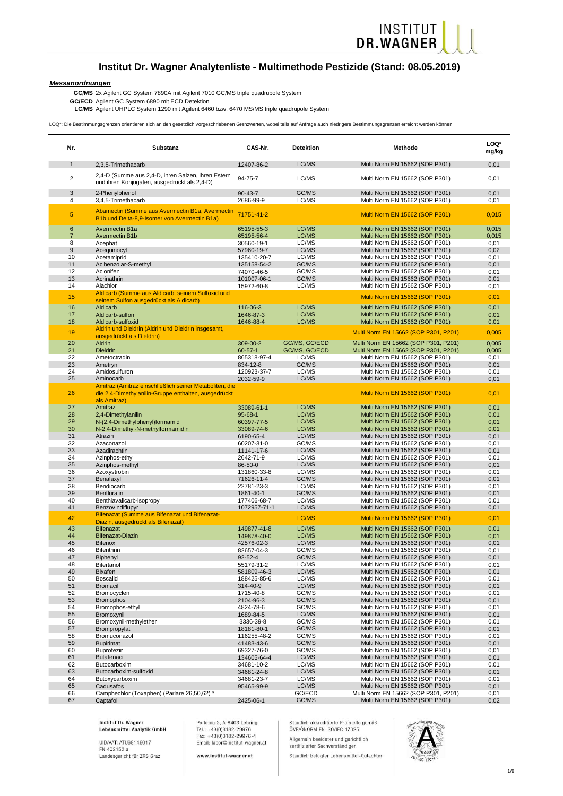#### **Institut Dr. Wagner Analytenliste - Multimethode Pestizide (Stand: 08.05.2019)**

INSTITUT<br>DR.WAGNER

*Messanordnungen*

**GC/ECD LC/MS** Agilent UHPLC System 1290 mit Agilent 6460 bzw. 6470 MS/MS triple quadrupole System Agilent GC System 6890 mit ECD Detektion

LOQ\*: Die Bestimmungsgrenzen orientieren sich an den gesetzlich vorgeschriebenen Grenzwerten, wobei teils auf Anfrage auch niedrigere Bestimmungsgrenzen erreicht werden können.

| Nr.            | Substanz                                                                                                                        | CAS-Nr.                    | <b>Detektion</b>       | Methode                                                                | LOQ*<br>mg/kg |
|----------------|---------------------------------------------------------------------------------------------------------------------------------|----------------------------|------------------------|------------------------------------------------------------------------|---------------|
| $\mathbf{1}$   | 2.3.5-Trimethacarb                                                                                                              | 12407-86-2                 | LC/MS                  | Multi Norm EN 15662 (SOP P301)                                         | 0,01          |
| $\overline{2}$ | 2,4-D (Summe aus 2,4-D, ihren Salzen, ihren Estern<br>und ihren Konjugaten, ausgedrückt als 2,4-D)                              | 94-75-7                    | LC/MS                  | Multi Norm EN 15662 (SOP P301)                                         | 0,01          |
| 3              | 2-Phenylphenol                                                                                                                  | $90 - 43 - 7$              | GC/MS                  | Multi Norm EN 15662 (SOP P301)                                         | 0,01          |
| 4              | 3,4,5-Trimethacarb                                                                                                              | 2686-99-9                  | LC/MS                  | Multi Norm EN 15662 (SOP P301)                                         | 0,01          |
| $\overline{5}$ | Abamectin (Summe aus Avermectin B1a, Avermectin<br>B1b und Delta-8,9-Isomer von Avermectin B1a)                                 | 71751-41-2                 |                        | Multi Norm EN 15662 (SOP P301)                                         | 0,015         |
| $6\phantom{1}$ | Avermectin B1a                                                                                                                  | 65195-55-3                 | LC/MS                  | Multi Norm EN 15662 (SOP P301)                                         | 0,015         |
| $\overline{7}$ | <b>Avermectin B1b</b>                                                                                                           | 65195-56-4                 | LC/MS                  | Multi Norm EN 15662 (SOP P301)                                         | 0,015         |
| 8              | Acephat                                                                                                                         | 30560-19-1                 | LC/MS                  | Multi Norm EN 15662 (SOP P301)                                         | 0,01          |
| $9\,$          | Acequinocyl                                                                                                                     | 57960-19-7                 | LC/MS                  | Multi Norm EN 15662 (SOP P301)                                         | 0,02          |
| 10             | Acetamiprid                                                                                                                     | 135410-20-7                | LC/MS                  | Multi Norm EN 15662 (SOP P301)                                         | 0,01          |
| 11<br>12       | Acibenzolar-S-methyl<br>Aclonifen                                                                                               | 135158-54-2<br>74070-46-5  | GC/MS<br>GC/MS         | Multi Norm EN 15662 (SOP P301)<br>Multi Norm EN 15662 (SOP P301)       | 0,01<br>0,01  |
| 13             | Acrinathrin                                                                                                                     | 101007-06-1                | GC/MS                  | Multi Norm EN 15662 (SOP P301)                                         | 0,01          |
| 14             | Alachlor                                                                                                                        | 15972-60-8                 | LC/MS                  | Multi Norm EN 15662 (SOP P301)                                         | 0,01          |
| 15             | Aldicarb (Summe aus Aldicarb, seinem Sulfoxid und<br>seinem Sulfon ausgedrückt als Aldicarb)                                    |                            |                        | Multi Norm EN 15662 (SOP P301)                                         | 0,01          |
| 16             | Aldicarb                                                                                                                        | 116-06-3                   | LC/MS                  | Multi Norm EN 15662 (SOP P301)                                         | 0,01          |
| 17             | Aldicarb-sulfon                                                                                                                 | 1646-87-3                  | LC/MS                  | Multi Norm EN 15662 (SOP P301)                                         | 0,01          |
| 18             | Aldicarb-sulfoxid                                                                                                               | 1646-88-4                  | LC/MS                  | Multi Norm EN 15662 (SOP P301)                                         | 0,01          |
| 19             | Aldrin und Dieldrin (Aldrin und Dieldrin insgesamt,<br>ausgedrückt als Dieldrin)                                                |                            |                        | Multi Norm EN 15662 (SOP P301, P201)                                   | 0,005         |
| 20<br>21       | Aldrin                                                                                                                          | 309-00-2                   | GC/MS, GC/ECD          | Multi Norm EN 15662 (SOP P301, P201)                                   | 0,005         |
| 22             | <b>Dieldrin</b><br>Ametoctradin                                                                                                 | 60-57-1<br>865318-97-4     | GC/MS, GC/ECD<br>LC/MS | Multi Norm EN 15662 (SOP P301, P201)<br>Multi Norm EN 15662 (SOP P301) | 0,005<br>0,01 |
| 23             | Ametryn                                                                                                                         | 834-12-8                   | GC/MS                  | Multi Norm EN 15662 (SOP P301)                                         | 0,01          |
| 24             | Amidosulfuron                                                                                                                   | 120923-37-7                | LC/MS                  | Multi Norm EN 15662 (SOP P301)                                         | 0,01          |
| 25             | Aminocarb                                                                                                                       | 2032-59-9                  | LC/MS                  | Multi Norm EN 15662 (SOP P301)                                         | 0,01          |
| 26             | Amitraz (Amitraz einschließlich seiner Metaboliten, die<br>die 2,4-Dimethylanilin-Gruppe enthalten, ausgedrückt<br>als Amitraz) |                            |                        | Multi Norm EN 15662 (SOP P301)                                         | 0,01          |
| 27             | Amitraz                                                                                                                         | 33089-61-1                 | LC/MS                  | Multi Norm EN 15662 (SOP P301)                                         | 0,01          |
| 28             | 2,4-Dimethylanilin                                                                                                              | $95 - 68 - 1$              | LC/MS                  | Multi Norm EN 15662 (SOP P301)                                         | 0,01          |
| 29             | N-(2,4-Dimethylphenyl)formamid                                                                                                  | 60397-77-5                 | LC/MS                  | Multi Norm EN 15662 (SOP P301)                                         | 0,01          |
| 30             | N-2,4-Dimethyl-N-methylformamidin                                                                                               | 33089-74-6                 | LC/MS                  | Multi Norm EN 15662 (SOP P301)                                         | 0,01          |
| 31             | Atrazin                                                                                                                         | 6190-65-4                  | LC/MS                  | Multi Norm EN 15662 (SOP P301)                                         | 0,01          |
| 32<br>33       | Azaconazol<br>Azadirachtin                                                                                                      | 60207-31-0<br>11141-17-6   | GC/MS<br>LC/MS         | Multi Norm EN 15662 (SOP P301)<br>Multi Norm EN 15662 (SOP P301)       | 0,01<br>0,01  |
| 34             | Azinphos-ethyl                                                                                                                  | 2642-71-9                  | LC/MS                  | Multi Norm EN 15662 (SOP P301)                                         | 0,01          |
| 35             | Azinphos-methyl                                                                                                                 | 86-50-0                    | LC/MS                  | Multi Norm EN 15662 (SOP P301)                                         | 0,01          |
| 36             | Azoxystrobin                                                                                                                    | 131860-33-8                | LC/MS                  | Multi Norm EN 15662 (SOP P301)                                         | 0,01          |
| 37             | Benalaxyl                                                                                                                       | 71626-11-4                 | GC/MS                  | Multi Norm EN 15662 (SOP P301)                                         | 0,01          |
| 38             | Bendiocarb                                                                                                                      | 22781-23-3                 | LC/MS                  | Multi Norm EN 15662 (SOP P301)                                         | 0,01          |
| 39             | Benfluralin                                                                                                                     | 1861-40-1                  | GC/MS                  | Multi Norm EN 15662 (SOP P301)                                         | 0,01          |
| 40             | Benthiavalicarb-isopropyl                                                                                                       | 177406-68-7                | LC/MS                  | Multi Norm EN 15662 (SOP P301)                                         | 0,01          |
| 41             | Benzovindiflupyr                                                                                                                | 1072957-71-1               | LC/MS                  | Multi Norm EN 15662 (SOP P301)                                         | 0,01          |
| 42             | Bifenazat (Summe aus Bifenazat und Bifenazat-<br>Diazin, ausgedrückt als Bifenazat)<br><b>Bifenazat</b>                         |                            | LC/MS                  | Multi Norm EN 15662 (SOP P301)<br>Multi Norm EN 15662 (SOP P301)       | 0,01          |
| 43<br>44       | Bifenazat-Diazin                                                                                                                | 149877-41-8<br>149878-40-0 | LC/MS<br>LC/MS         | Multi Norm EN 15662 (SOP P301)                                         | 0,01<br>0,01  |
| 45             | <b>Bifenox</b>                                                                                                                  | 42576-02-3                 | LC/MS                  | Multi Norm EN 15662 (SOP P301)                                         | 0,01          |
| 46             | Bifenthrin                                                                                                                      | 82657-04-3                 | GC/MS                  | Multi Norm EN 15662 (SOP P301)                                         | 0,01          |
| 47             | <b>Biphenvl</b>                                                                                                                 | 92-52-4                    | GC/MS                  | Multi Norm EN 15662 (SOP P301)                                         | 0,01          |
| 48             | Bitertanol                                                                                                                      | 55179-31-2                 | LC/MS                  | Multi Norm EN 15662 (SOP P301)                                         | 0,01          |
| 49             | <b>Bixafen</b>                                                                                                                  | 581809-46-3                | LC/MS                  | Multi Norm EN 15662 (SOP P301)                                         | 0,01          |
| 50             | <b>Boscalid</b>                                                                                                                 | 188425-85-6                | LC/MS                  | Multi Norm EN 15662 (SOP P301)                                         | 0,01          |
| 51             | <b>Bromacil</b>                                                                                                                 | 314-40-9                   | LC/MS                  | Multi Norm EN 15662 (SOP P301)                                         | 0,01          |
| 52             | Bromocyclen                                                                                                                     | 1715-40-8                  | GC/MS                  | Multi Norm EN 15662 (SOP P301)                                         | 0,01          |
| 53             | <b>Bromophos</b>                                                                                                                | 2104-96-3                  | GC/MS                  | Multi Norm EN 15662 (SOP P301)                                         | 0,01          |
| 54             | Bromophos-ethyl                                                                                                                 | 4824-78-6                  | GC/MS                  | Multi Norm EN 15662 (SOP P301)                                         | 0,01          |
| 55<br>56       | Bromoxynil                                                                                                                      | 1689-84-5                  | LC/MS<br>GC/MS         | Multi Norm EN 15662 (SOP P301)<br>Multi Norm EN 15662 (SOP P301)       | 0,01          |
| 57             | Bromoxynil-methylether<br>Brompropylat                                                                                          | 3336-39-8<br>18181-80-1    | GC/MS                  | Multi Norm EN 15662 (SOP P301)                                         | 0,01<br>0,01  |
| 58             | Bromuconazol                                                                                                                    | 116255-48-2                | GC/MS                  | Multi Norm EN 15662 (SOP P301)                                         | 0,01          |
| 59             | <b>Bupirimat</b>                                                                                                                | 41483-43-6                 | GC/MS                  | Multi Norm EN 15662 (SOP P301)                                         | 0,01          |
| 60             | Buprofezin                                                                                                                      | 69327-76-0                 | GC/MS                  | Multi Norm EN 15662 (SOP P301)                                         | 0,01          |
| 61             | Butafenacil                                                                                                                     | 134605-64-4                | LC/MS                  | Multi Norm EN 15662 (SOP P301)                                         | 0,01          |
| 62             | Butocarboxim                                                                                                                    | 34681-10-2                 | LC/MS                  | Multi Norm EN 15662 (SOP P301)                                         | 0,01          |
| 63             | Butocarboxim-sulfoxid                                                                                                           | 34681-24-8                 | LC/MS                  | Multi Norm EN 15662 (SOP P301)                                         | 0,01          |
| 64             | Butoxycarboxim                                                                                                                  | 34681-23-7                 | LC/MS                  | Multi Norm EN 15662 (SOP P301)                                         | 0,01          |
| 65             | Cadusafos                                                                                                                       | 95465-99-9                 | LC/MS                  | Multi Norm EN 15662 (SOP P301)                                         | 0,01          |
| 66             | Camphechlor (Toxaphen) (Parlare 26,50,62) *                                                                                     |                            | GC/ECD                 | Multi Norm EN 15662 (SOP P301, P201)                                   | 0,01          |
| 67             | Captafol                                                                                                                        | 2425-06-1                  | GC/MS                  | Multi Norm EN 15662 (SOP P301)                                         | 0,02          |

Institut Dr. Wagner Lebensmittel Analytik GmbH

UID/VAT: ATU68146017<br>FN 402152 a Landesgericht für ZRS Graz Parkring 2, A-8403 Lebring Tel.: +43(0)3182-29976<br>Fax: +43(0)3182-29976 Email: labor@institut-wagner.at

www.institut-wagner.at



**GC/MS** 2x Agilent GC System 7890A mit Agilent 7010 GC/MS triple quadrupole System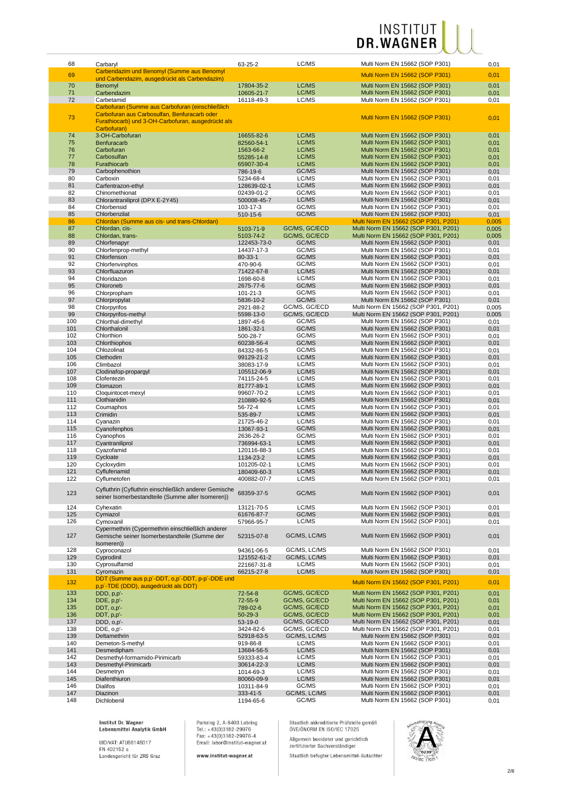| 68  | Carbaryl                                               | 63-25-2       | LC/MS         | Multi Norm EN 15662 (SOP P301)       | 0,01  |
|-----|--------------------------------------------------------|---------------|---------------|--------------------------------------|-------|
|     | Carbendazim und Benomyl (Summe aus Benomyl             |               |               |                                      |       |
| 69  |                                                        |               |               | Multi Norm EN 15662 (SOP P301)       | 0,01  |
|     | und Carbendazim, ausgedrückt als Carbendazim)          |               |               |                                      |       |
| 70  | Benomyl                                                | 17804-35-2    | LC/MS         | Multi Norm EN 15662 (SOP P301)       | 0,01  |
| 71  | Carbendazim                                            | 10605-21-7    | LC/MS         | Multi Norm EN 15662 (SOP P301)       | 0,01  |
| 72  | Carbetamid                                             | 16118-49-3    | LC/MS         | Multi Norm EN 15662 (SOP P301)       | 0,01  |
|     | Carbofuran (Summe aus Carbofuran (einschließlich       |               |               |                                      |       |
|     |                                                        |               |               |                                      |       |
| 73  | Carbofuran aus Carbosulfan, Benfuracarb oder           |               |               | Multi Norm EN 15662 (SOP P301)       | 0,01  |
|     | Furathiocarb) und 3-OH-Carbofuran, ausgedrückt als     |               |               |                                      |       |
|     | Carbofuran)                                            |               |               |                                      |       |
| 74  | 3-OH-Carbofuran                                        |               | LC/MS         | Multi Norm EN 15662 (SOP P301)       |       |
|     |                                                        | 16655-82-6    |               |                                      | 0,01  |
| 75  | <b>Benfuracarb</b>                                     | 82560-54-1    | LC/MS         | Multi Norm EN 15662 (SOP P301)       | 0,01  |
| 76  | Carbofuran                                             | 1563-66-2     | LC/MS         | Multi Norm EN 15662 (SOP P301)       | 0,01  |
| 77  | Carbosulfan                                            | 55285-14-8    | LC/MS         | Multi Norm EN 15662 (SOP P301)       | 0,01  |
| 78  |                                                        |               | LC/MS         | Multi Norm EN 15662 (SOP P301)       |       |
|     | Furathiocarb                                           | 65907-30-4    |               |                                      | 0,01  |
| 79  | Carbophenothion                                        | 786-19-6      | GC/MS         | Multi Norm EN 15662 (SOP P301)       | 0,01  |
| 80  | Carboxin                                               | 5234-68-4     | LC/MS         | Multi Norm EN 15662 (SOP P301)       | 0,01  |
| 81  | Carfentrazon-ethyl                                     | 128639-02-1   | LC/MS         | Multi Norm EN 15662 (SOP P301)       | 0,01  |
| 82  | Chinomethionat                                         | 02439-01-2    | GC/MS         | Multi Norm EN 15662 (SOP P301)       | 0,01  |
|     |                                                        |               |               |                                      |       |
| 83  | Chlorantraniliprol (DPX E-2Y45)                        | 500008-45-7   | LC/MS         | Multi Norm EN 15662 (SOP P301)       | 0,01  |
| 84  | Chlorbensid                                            | 103-17-3      | GC/MS         | Multi Norm EN 15662 (SOP P301)       | 0,01  |
| 85  | Chlorbenzilat                                          | 510-15-6      | GC/MS         | Multi Norm EN 15662 (SOP P301)       | 0,01  |
| 86  | Chlordan (Summe aus cis- und trans-Chlordan)           |               |               | Multi Norm EN 15662 (SOP P301, P201) | 0,005 |
| 87  | Chlordan, cis-                                         |               | GC/MS, GC/ECD | Multi Norm EN 15662 (SOP P301, P201) |       |
|     |                                                        | 5103-71-9     |               |                                      | 0,005 |
| 88  | Chlordan, trans-                                       | 5103-74-2     | GC/MS, GC/ECD | Multi Norm EN 15662 (SOP P301, P201) | 0,005 |
| 89  | Chlorfenapyr                                           | 122453-73-0   | GC/MS         | Multi Norm EN 15662 (SOP P301)       | 0,01  |
| 90  | Chlorfenprop-methyl                                    | 14437-17-3    | GC/MS         | Multi Norm EN 15662 (SOP P301)       | 0,01  |
| 91  | Chlorfenson                                            | $80 - 33 - 1$ | GC/MS         | Multi Norm EN 15662 (SOP P301)       | 0,01  |
|     |                                                        |               |               |                                      |       |
| 92  | Chlorfenvinphos                                        | 470-90-6      | GC/MS         | Multi Norm EN 15662 (SOP P301)       | 0,01  |
| 93  | Chlorfluazuron                                         | 71422-67-8    | LC/MS         | Multi Norm EN 15662 (SOP P301)       | 0,01  |
| 94  | Chloridazon                                            | 1698-60-8     | LC/MS         | Multi Norm EN 15662 (SOP P301)       | 0,01  |
| 95  | Chloroneb                                              | 2675-77-6     | GC/MS         | Multi Norm EN 15662 (SOP P301)       | 0,01  |
|     |                                                        |               |               |                                      |       |
| 96  | Chlorpropham                                           | 101-21-3      | GC/MS         | Multi Norm EN 15662 (SOP P301)       | 0,01  |
| 97  | Chlorpropylat                                          | 5836-10-2     | GC/MS         | Multi Norm EN 15662 (SOP P301)       | 0,01  |
| 98  | Chlorpyrifos                                           | 2921-88-2     | GC/MS, GC/ECD | Multi Norm EN 15662 (SOP P301, P201) | 0,005 |
| 99  | Chlorpyrifos-methyl                                    | 5598-13-0     | GC/MS, GC/ECD | Multi Norm EN 15662 (SOP P301, P201) | 0,005 |
|     |                                                        |               |               |                                      |       |
| 100 | Chlorthal-dimethyl                                     | 1897-45-6     | GC/MS         | Multi Norm EN 15662 (SOP P301)       | 0,01  |
| 101 | Chlorthalonil                                          | 1861-32-1     | GC/MS         | Multi Norm EN 15662 (SOP P301)       | 0,01  |
| 102 | Chlorthion                                             | 500-28-7      | GC/MS         | Multi Norm EN 15662 (SOP P301)       | 0,01  |
| 103 | Chlorthiophos                                          | 60238-56-4    | GC/MS         | Multi Norm EN 15662 (SOP P301)       | 0,01  |
|     |                                                        |               |               |                                      |       |
| 104 | Chlozolinat                                            | 84332-86-5    | GC/MS         | Multi Norm EN 15662 (SOP P301)       | 0,01  |
| 105 | Clethodim                                              | 99129-21-2    | LC/MS         | Multi Norm EN 15662 (SOP P301)       | 0,01  |
| 106 | Climbazol                                              | 38083-17-9    | LC/MS         | Multi Norm EN 15662 (SOP P301)       | 0,01  |
| 107 | Clodinafop-propargyl                                   | 105512-06-9   | LC/MS         | Multi Norm EN 15662 (SOP P301)       | 0,01  |
| 108 |                                                        |               | LC/MS         |                                      |       |
|     | Clofentezin                                            | 74115-24-5    |               | Multi Norm EN 15662 (SOP P301)       | 0,01  |
| 109 | Clomazon                                               | 81777-89-1    | LC/MS         | Multi Norm EN 15662 (SOP P301)       | 0,01  |
| 110 | Cloquintocet-mexyl                                     | 99607-70-2    | LC/MS         | Multi Norm EN 15662 (SOP P301)       | 0,01  |
| 111 | Clothianidin                                           | 210880-92-5   | LC/MS         | Multi Norm EN 15662 (SOP P301)       | 0,01  |
| 112 | Coumaphos                                              | 56-72-4       | LC/MS         | Multi Norm EN 15662 (SOP P301)       | 0,01  |
|     |                                                        |               |               |                                      |       |
| 113 | Crimidin                                               | 535-89-7      | LC/MS         | Multi Norm EN 15662 (SOP P301)       | 0,01  |
| 114 | Cyanazin                                               | 21725-46-2    | LC/MS         | Multi Norm EN 15662 (SOP P301)       | 0,01  |
| 115 | Cyanofenphos                                           | 13067-93-1    | GC/MS         | Multi Norm EN 15662 (SOP P301)       | 0,01  |
| 116 | Cyanophos                                              | 2636-26-2     | GC/MS         | Multi Norm EN 15662 (SOP P301)       | 0,01  |
|     |                                                        |               |               |                                      |       |
| 117 | Cyantraniliprol                                        | 736994-63-1   | LC/MS         | Multi Norm EN 15662 (SOP P301)       | 0,01  |
| 118 | Cyazofamid                                             | 120116-88-3   | LC/MS         | Multi Norm EN 15662 (SOP P301)       | 0,01  |
| 119 | Cycloate                                               | 1134-23-2     | LC/MS         | Multi Norm EN 15662 (SOP P301)       | 0,01  |
| 120 | Cycloxydim                                             | 101205-02-1   | LC/MS         | Multi Norm EN 15662 (SOP P301)       | 0,01  |
|     |                                                        |               |               | Multi Norm EN 15662 (SOP P301)       |       |
| 121 | Cyflufenamid                                           | 180409-60-3   | LC/MS         |                                      | 0,01  |
| 122 | Cyflumetofen                                           | 400882-07-7   | LC/MS         | Multi Norm EN 15662 (SOP P301)       | 0,01  |
|     |                                                        |               |               |                                      |       |
| 123 | Cyfluthrin (Cyfluthrin einschließlich anderer Gemische | 68359-37-5    | GC/MS         | Multi Norm EN 15662 (SOP P301)       | 0,01  |
|     | seiner Isomerbestandteile (Summe aller Isomeren))      |               |               |                                      |       |
|     |                                                        |               |               |                                      |       |
| 124 | Cyhexatin                                              | 13121-70-5    | LC/MS         | Multi Norm EN 15662 (SOP P301)       | 0,01  |
| 125 | Cymiazol                                               | 61676-87-7    | GC/MS         | Multi Norm EN 15662 (SOP P301)       | 0,01  |
| 126 | Cymoxanil                                              | 57966-95-7    | LC/MS         | Multi Norm EN 15662 (SOP P301)       | 0,01  |
|     | Cypermethrin (Cypermethrin einschließlich anderer      |               |               |                                      |       |
|     |                                                        | 52315-07-8    |               |                                      |       |
| 127 | Gemische seiner Isomerbestandteile (Summe der          |               | GC/MS, LC/MS  | Multi Norm EN 15662 (SOP P301)       | 0,01  |
|     | (someren)                                              |               |               |                                      |       |
| 128 | Cyproconazol                                           | 94361-06-5    | GC/MS, LC/MS  | Multi Norm EN 15662 (SOP P301)       | 0,01  |
| 129 | Cyprodinil                                             | 121552-61-2   | GC/MS, LC/MS  | Multi Norm EN 15662 (SOP P301)       | 0,01  |
| 130 | Cyprosulfamid                                          |               | LC/MS         | Multi Norm EN 15662 (SOP P301)       | 0,01  |
|     |                                                        | 221667-31-8   |               |                                      |       |
| 131 | Cyromazin                                              | 66215-27-8    | LC/MS         | Multi Norm EN 15662 (SOP P301)       | 0,01  |
| 132 | DDT (Summe aus p,p'-DDT, o,p'-DDT, p-p'-DDE und        |               |               | Multi Norm EN 15662 (SOP P301, P201) | 0,01  |
|     | p,p'-TDE (DDD), ausgedrückt als DDT)                   |               |               |                                      |       |
| 133 | $DDD, p, p'-$                                          | 72-54-8       | GC/MS, GC/ECD | Multi Norm EN 15662 (SOP P301, P201) | 0,01  |
|     |                                                        |               |               |                                      |       |
| 134 | DDE, p,p'-                                             | 72-55-9       | GC/MS, GC/ECD | Multi Norm EN 15662 (SOP P301, P201) | 0,01  |
| 135 | DDT, o,p'-                                             | 789-02-6      | GC/MS, GC/ECD | Multi Norm EN 15662 (SOP P301, P201) | 0,01  |
| 136 | DDT, p,p'-                                             | $50 - 29 - 3$ | GC/MS, GC/ECD | Multi Norm EN 15662 (SOP P301, P201) | 0,01  |
| 137 | DDD, o,p'-                                             | 53-19-0       | GC/MS, GC/ECD | Multi Norm EN 15662 (SOP P301, P201) | 0,01  |
|     |                                                        |               |               |                                      |       |
| 138 | DDE, o,p'-                                             | 3424-82-6     | GC/MS, GC/ECD | Multi Norm EN 15662 (SOP P301, P201) | 0,01  |
| 139 | Deltamethrin                                           | 52918-63-5    | GC/MS, LC/MS  | Multi Norm EN 15662 (SOP P301)       | 0,01  |
| 140 | Demeton-S-methyl                                       | 919-86-8      | LC/MS         | Multi Norm EN 15662 (SOP P301)       | 0,01  |
| 141 | Desmedipham                                            | 13684-56-5    | LC/MS         | Multi Norm EN 15662 (SOP P301)       | 0,01  |
|     |                                                        |               |               |                                      |       |
| 142 | Desmethyl-formamido-Pirimicarb                         | 59333-83-4    | LC/MS         | Multi Norm EN 15662 (SOP P301)       | 0,01  |
| 143 | Desmethyl-Pirimicarb                                   | 30614-22-3    | LC/MS         | Multi Norm EN 15662 (SOP P301)       | 0,01  |
| 144 | Desmetryn                                              | 1014-69-3     | LC/MS         | Multi Norm EN 15662 (SOP P301)       | 0,01  |
| 145 | Diafenthiuron                                          | 80060-09-9    | LC/MS         | Multi Norm EN 15662 (SOP P301)       | 0,01  |
|     |                                                        |               |               |                                      |       |
| 146 | <b>Dialifos</b>                                        | 10311-84-9    | GC/MS         | Multi Norm EN 15662 (SOP P301)       | 0,01  |
| 147 | Diazinon                                               | 333-41-5      | GC/MS, LC/MS  | Multi Norm EN 15662 (SOP P301)       | 0,01  |
| 148 | Dichlobenil                                            | 1194-65-6     | GC/MS         | Multi Norm EN 15662 (SOP P301)       | 0,01  |

Institut Dr. Wagner<br>Lebensmittel Analytik GmbH

UID/VAT: ATU68146017<br>FN 402152 a<br>Landesgericht für ZRS Graz

Parkring 2, A-8403 Lebring<br>Tel.: +43(0)3182-29976<br>Fax: +43(0)3182-29976-4<br>Email: labor@institut-wagner.at

www.institut-wagner.at

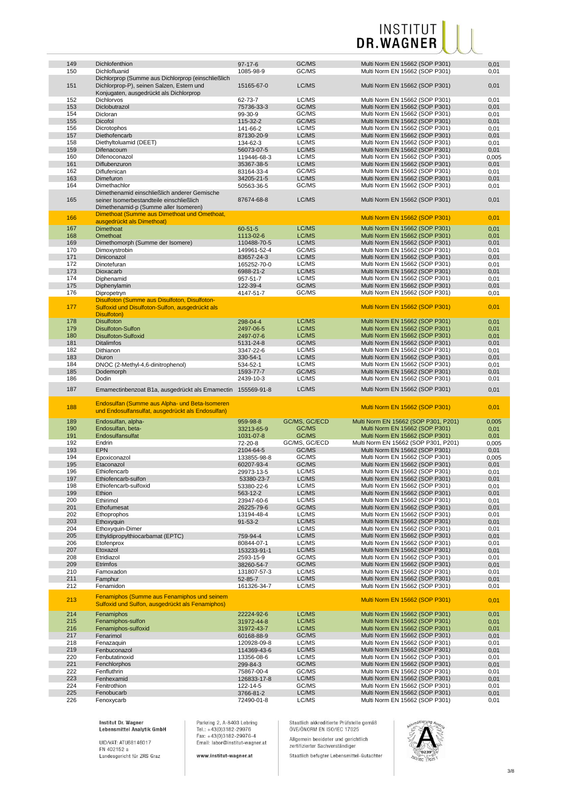| 149 | Dichlofenthion                                                                                  | $97-17-6$     | GC/MS         | Multi Norm EN 15662 (SOP P301)       | 0,01         |
|-----|-------------------------------------------------------------------------------------------------|---------------|---------------|--------------------------------------|--------------|
| 150 | Dichlofluanid                                                                                   | 1085-98-9     | GC/MS         | Multi Norm EN 15662 (SOP P301)       | 0,01         |
|     | Dichlorprop (Summe aus Dichlorprop (einschließlich                                              |               |               |                                      |              |
| 151 | Dichlorprop-P), seinen Salzen, Estern und                                                       | 15165-67-0    | LC/MS         | Multi Norm EN 15662 (SOP P301)       | 0,01         |
|     | Konjugaten, ausgedrückt als Dichlorprop                                                         |               |               |                                      |              |
| 152 | Dichlorvos                                                                                      | 62-73-7       | LC/MS         | Multi Norm EN 15662 (SOP P301)       | 0,01         |
| 153 | Diclobutrazol                                                                                   | 75736-33-3    | GC/MS         | Multi Norm EN 15662 (SOP P301)       | 0,01         |
| 154 | Dicloran                                                                                        | 99-30-9       | GC/MS         | Multi Norm EN 15662 (SOP P301)       | 0,01         |
| 155 | Dicofol                                                                                         | 115-32-2      | GC/MS         | Multi Norm EN 15662 (SOP P301)       | 0,01         |
|     |                                                                                                 |               | LC/MS         |                                      |              |
| 156 | Dicrotophos                                                                                     | 141-66-2      |               | Multi Norm EN 15662 (SOP P301)       | 0,01         |
| 157 | Diethofencarb                                                                                   | 87130-20-9    | LC/MS         | Multi Norm EN 15662 (SOP P301)       | 0,01         |
| 158 | Diethyltoluamid (DEET)                                                                          | 134-62-3      | LC/MS         | Multi Norm EN 15662 (SOP P301)       | 0,01         |
| 159 | Difenacoum                                                                                      | 56073-07-5    | LC/MS         | Multi Norm EN 15662 (SOP P301)       | 0,01         |
| 160 | Difenoconazol                                                                                   | 119446-68-3   | LC/MS         | Multi Norm EN 15662 (SOP P301)       | 0,005        |
| 161 | Diflubenzuron                                                                                   | 35367-38-5    | LC/MS         | Multi Norm EN 15662 (SOP P301)       | 0,01         |
| 162 | Diflufenican                                                                                    | 83164-33-4    | GC/MS         | Multi Norm EN 15662 (SOP P301)       | 0,01         |
| 163 | Dimefuron                                                                                       | 34205-21-5    | LC/MS         | Multi Norm EN 15662 (SOP P301)       | 0,01         |
| 164 | Dimethachlor                                                                                    | 50563-36-5    | GC/MS         | Multi Norm EN 15662 (SOP P301)       | 0,01         |
|     | Dimethenamid einschließlich anderer Gemische                                                    |               |               |                                      |              |
| 165 | seiner Isomerbestandteile einschließlich                                                        | 87674-68-8    | LC/MS         | Multi Norm EN 15662 (SOP P301)       | 0,01         |
|     |                                                                                                 |               |               |                                      |              |
|     | Dimethenamid-p (Summe aller Isomeren)                                                           |               |               |                                      |              |
| 166 | Dimethoat (Summe aus Dimethoat und Omethoat,                                                    |               |               | Multi Norm EN 15662 (SOP P301)       | 0,01         |
|     | ausgedrückt als Dimethoat)                                                                      |               |               |                                      |              |
| 167 | Dimethoat                                                                                       | $60 - 51 - 5$ | LC/MS         | Multi Norm EN 15662 (SOP P301)       | 0,01         |
| 168 | Omethoat                                                                                        | 1113-02-6     | LC/MS         | Multi Norm EN 15662 (SOP P301)       | 0,01         |
| 169 | Dimethomorph (Summe der Isomere)                                                                | 110488-70-5   | LC/MS         | Multi Norm EN 15662 (SOP P301)       | 0,01         |
| 170 | Dimoxystrobin                                                                                   | 149961-52-4   | GC/MS         | Multi Norm EN 15662 (SOP P301)       | 0,01         |
| 171 | Diniconazol                                                                                     | 83657-24-3    | LC/MS         | Multi Norm EN 15662 (SOP P301)       | 0,01         |
| 172 | Dinotefuran                                                                                     | 165252-70-0   | LC/MS         | Multi Norm EN 15662 (SOP P301)       | 0,01         |
| 173 | Dioxacarb                                                                                       | 6988-21-2     | LC/MS         | Multi Norm EN 15662 (SOP P301)       | 0,01         |
| 174 | Diphenamid                                                                                      | 957-51-7      | LC/MS         | Multi Norm EN 15662 (SOP P301)       | 0,01         |
|     |                                                                                                 |               |               |                                      |              |
| 175 | Diphenylamin                                                                                    | 122-39-4      | GC/MS         | Multi Norm EN 15662 (SOP P301)       | 0,01         |
| 176 | Dipropetryn                                                                                     | 4147-51-7     | GC/MS         | Multi Norm EN 15662 (SOP P301)       | 0,01         |
|     | Disulfoton (Summe aus Disulfoton, Disulfoton-                                                   |               |               |                                      |              |
| 177 | Sulfoxid und Disulfoton-Sulfon, ausgedrückt als                                                 |               |               | Multi Norm EN 15662 (SOP P301)       | 0,01         |
|     | Disulfoton)                                                                                     |               |               |                                      |              |
| 178 | <b>Disulfoton</b>                                                                               | 298-04-4      | LC/MS         | Multi Norm EN 15662 (SOP P301)       | 0,01         |
| 179 | Disulfoton-Sulfon                                                                               | 2497-06-5     | LC/MS         | Multi Norm EN 15662 (SOP P301)       | 0,01         |
| 180 | Disulfoton-Sulfoxid                                                                             | 2497-07-6     | LC/MS         | Multi Norm EN 15662 (SOP P301)       | 0,01         |
| 181 | <b>Ditalimfos</b>                                                                               |               | GC/MS         | Multi Norm EN 15662 (SOP P301)       |              |
|     |                                                                                                 | 5131-24-8     |               |                                      | 0,01         |
| 182 | Dithianon                                                                                       | 3347-22-6     | LC/MS         | Multi Norm EN 15662 (SOP P301)       | 0,01         |
| 183 | Diuron                                                                                          | 330-54-1      | LC/MS         | Multi Norm EN 15662 (SOP P301)       | 0,01         |
| 184 | DNOC (2-Methyl-4,6-dinitrophenol)                                                               | 534-52-1      | LC/MS         | Multi Norm EN 15662 (SOP P301)       | 0,01         |
| 185 | Dodemorph                                                                                       | 1593-77-7     | GC/MS         | Multi Norm EN 15662 (SOP P301)       | 0,01         |
| 186 | Dodin                                                                                           | 2439-10-3     | LC/MS         | Multi Norm EN 15662 (SOP P301)       | 0,01         |
|     |                                                                                                 |               |               |                                      |              |
|     |                                                                                                 |               |               |                                      |              |
| 187 | Emamectinbenzoat B1a, ausgedrückt als Emamectin                                                 | 155569-91-8   | LC/MS         | Multi Norm EN 15662 (SOP P301)       | 0,01         |
|     |                                                                                                 |               |               |                                      |              |
| 188 | Endosulfan (Summe aus Alpha- und Beta-Isomeren                                                  |               |               | Multi Norm EN 15662 (SOP P301)       | 0,01         |
|     | und Endosulfansulfat, ausgedrückt als Endosulfan)                                               |               |               |                                      |              |
| 189 | Endosulfan, alpha-                                                                              | 959-98-8      | GC/MS, GC/ECD | Multi Norm EN 15662 (SOP P301, P201) | 0,005        |
| 190 | Endosulfan, beta-                                                                               | 33213-65-9    | GC/MS         | Multi Norm EN 15662 (SOP P301)       |              |
|     | Endosulfansulfat                                                                                |               |               |                                      | 0,01         |
| 191 |                                                                                                 | 1031-07-8     | GC/MS         | Multi Norm EN 15662 (SOP P301)       | 0,01         |
| 192 | Endrin                                                                                          | 72-20-8       | GC/MS, GC/ECD | Multi Norm EN 15662 (SOP P301, P201) | 0,005        |
| 193 | <b>EPN</b>                                                                                      | 2104-64-5     | GC/MS         | Multi Norm EN 15662 (SOP P301)       | 0,01         |
| 194 | Epoxiconazol                                                                                    | 133855-98-8   | GC/MS         | Multi Norm EN 15662 (SOP P301)       | 0,005        |
| 195 | Etaconazol                                                                                      | 60207-93-4    | GC/MS         | Multi Norm EN 15662 (SOP P301)       | 0,01         |
| 196 | Ethiofencarb                                                                                    | 29973-13-5    | LC/MS         | Multi Norm EN 15662 (SOP P301)       | 0,01         |
| 197 | Ethiofencarb-sulfon                                                                             | 53380-23-7    | LC/MS         | Multi Norm EN 15662 (SOP P301)       | 0,01         |
| 198 | Ethiofencarb-sulfoxid                                                                           | 53380-22-6    | LC/MS         | Multi Norm EN 15662 (SOP P301)       | 0,01         |
| 199 | Ethion                                                                                          | 563-12-2      | LC/MS         | Multi Norm EN 15662 (SOP P301)       | 0,01         |
| 200 | Ethirimol                                                                                       | 23947-60-6    | LC/MS         | Multi Norm EN 15662 (SOP P301)       | 0,01         |
| 201 | Ethofumesat                                                                                     | 26225-79-6    | GC/MS         | Multi Norm EN 15662 (SOP P301)       | 0,01         |
| 202 | Ethoprophos                                                                                     | 13194-48-4    | LC/MS         | Multi Norm EN 15662 (SOP P301)       | 0,01         |
| 203 | Ethoxyquin                                                                                      | $91 - 53 - 2$ | LC/MS         | Multi Norm EN 15662 (SOP P301)       | 0,01         |
|     |                                                                                                 |               |               |                                      |              |
| 204 | Ethoxyquin-Dimer                                                                                |               | LC/MS         | Multi Norm EN 15662 (SOP P301)       | 0,01         |
| 205 | Ethyldipropylthiocarbamat (EPTC)                                                                | 759-94-4      | LC/MS         | Multi Norm EN 15662 (SOP P301)       | 0,01         |
| 206 | Etofenprox                                                                                      | 80844-07-1    | LC/MS         | Multi Norm EN 15662 (SOP P301)       | 0,01         |
| 207 | Etoxazol                                                                                        | 153233-91-1   | LC/MS         | Multi Norm EN 15662 (SOP P301)       | 0,01         |
| 208 | Etridiazol                                                                                      | 2593-15-9     | GC/MS         | Multi Norm EN 15662 (SOP P301)       | 0,01         |
| 209 | Etrimfos                                                                                        | 38260-54-7    | GC/MS         | Multi Norm EN 15662 (SOP P301)       | 0,01         |
| 210 | Famoxadon                                                                                       | 131807-57-3   | LC/MS         | Multi Norm EN 15662 (SOP P301)       | 0,01         |
| 211 | Famphur                                                                                         | 52-85-7       | LC/MS         | Multi Norm EN 15662 (SOP P301)       | 0,01         |
| 212 | Fenamidon                                                                                       | 161326-34-7   | LC/MS         | Multi Norm EN 15662 (SOP P301)       | 0,01         |
|     |                                                                                                 |               |               |                                      |              |
| 213 | Fenamiphos (Summe aus Fenamiphos und seinem<br>Sulfoxid und Sulfon, ausgedrückt als Fenamiphos) |               |               | Multi Norm EN 15662 (SOP P301)       | 0,01         |
|     |                                                                                                 |               |               |                                      |              |
| 214 | Fenamiphos                                                                                      | 22224-92-6    | LC/MS         | Multi Norm EN 15662 (SOP P301)       | 0,01         |
| 215 | Fenamiphos-sulfon                                                                               | 31972-44-8    | LC/MS         | Multi Norm EN 15662 (SOP P301)       | 0,01         |
| 216 | Fenamiphos-sulfoxid                                                                             | 31972-43-7    | LC/MS         | Multi Norm EN 15662 (SOP P301)       | 0,01         |
| 217 | Fenarimol                                                                                       | 60168-88-9    | GC/MS         | Multi Norm EN 15662 (SOP P301)       | 0,01         |
| 218 | Fenazaquin                                                                                      | 120928-09-8   | LC/MS         | Multi Norm EN 15662 (SOP P301)       | 0,01         |
| 219 | Fenbuconazol                                                                                    | 114369-43-6   | LC/MS         | Multi Norm EN 15662 (SOP P301)       | 0,01         |
| 220 | Fenbutatinoxid                                                                                  | 13356-08-6    | LC/MS         | Multi Norm EN 15662 (SOP P301)       | 0,01         |
| 221 | Fenchlorphos                                                                                    | 299-84-3      | GC/MS         | Multi Norm EN 15662 (SOP P301)       | 0,01         |
| 222 | Fenfluthrin                                                                                     | 75867-00-4    | GC/MS         | Multi Norm EN 15662 (SOP P301)       | 0,01         |
| 223 | Fenhexamid                                                                                      | 126833-17-8   | LC/MS         | Multi Norm EN 15662 (SOP P301)       | 0,01         |
| 224 | Fenitrothion                                                                                    | 122-14-5      | GC/MS         | Multi Norm EN 15662 (SOP P301)       | 0,01         |
| 225 | Fenobucarb                                                                                      | 3766-81-2     | LC/MS         | Multi Norm EN 15662 (SOP P301)       |              |
| 226 | Fenoxycarb                                                                                      | 72490-01-8    | LC/MS         | Multi Norm EN 15662 (SOP P301)       | 0,01<br>0,01 |

Institut Dr. Wagner<br>Lebensmittel Analytik GmbH

UID/VAT: ATU68146017<br>FN 402152 a<br>Landesgericht für ZRS Graz

Parkring 2, A-8403 Lebring<br>Tel.: +43(0)3182-29976<br>Fax: +43(0)3182-29976-4<br>Email: labor@institut-wagner.at

www.institut-wagner.at

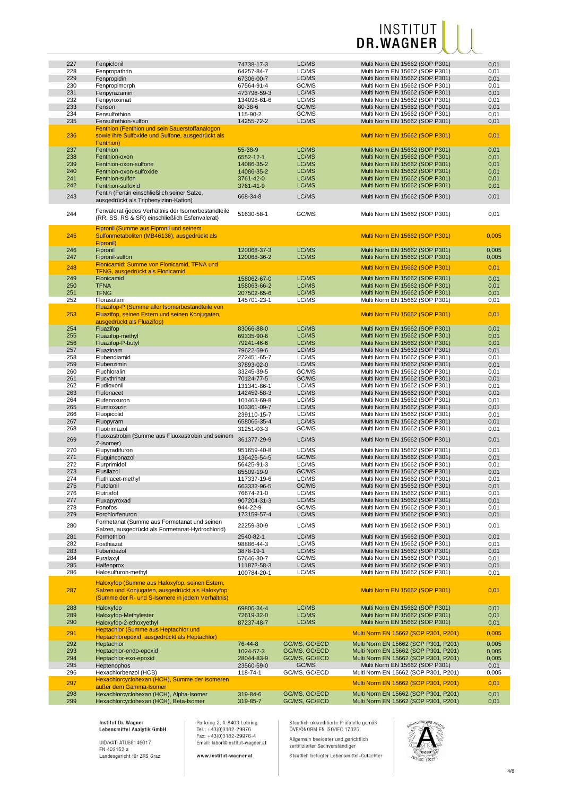| 227 | Fenpiclonil                                         | 74738-17-3  | LC/MS         | Multi Norm EN 15662 (SOP P301)       | 0,01  |
|-----|-----------------------------------------------------|-------------|---------------|--------------------------------------|-------|
| 228 | Fenpropathrin                                       | 64257-84-7  | LC/MS         | Multi Norm EN 15662 (SOP P301)       | 0,01  |
| 229 | Fenpropidin                                         | 67306-00-7  | LC/MS         | Multi Norm EN 15662 (SOP P301)       | 0,01  |
| 230 |                                                     | 67564-91-4  | GC/MS         | Multi Norm EN 15662 (SOP P301)       |       |
|     | Fenpropimorph                                       |             |               |                                      | 0,01  |
| 231 | Fenpyrazamin                                        | 473798-59-3 | LC/MS         | Multi Norm EN 15662 (SOP P301)       | 0,01  |
| 232 | Fenpyroximat                                        | 134098-61-6 | LC/MS         | Multi Norm EN 15662 (SOP P301)       | 0,01  |
| 233 | Fenson                                              | 80-38-6     | GC/MS         | Multi Norm EN 15662 (SOP P301)       | 0,01  |
| 234 | Fensulfothion                                       | 115-90-2    | GC/MS         | Multi Norm EN 15662 (SOP P301)       | 0,01  |
| 235 | Fensulfothion-sulfon                                | 14255-72-2  | LC/MS         | Multi Norm EN 15662 (SOP P301)       | 0,01  |
|     | Fenthion (Fenthion und sein Sauerstoffanalogon      |             |               |                                      |       |
| 236 | sowie ihre Sulfoxide und Sulfone, ausgedrückt als   |             |               | Multi Norm EN 15662 (SOP P301)       | 0,01  |
|     | Fenthion)                                           |             |               |                                      |       |
| 237 | Fenthion                                            | 55-38-9     | LC/MS         | Multi Norm EN 15662 (SOP P301)       | 0,01  |
|     |                                                     | 6552-12-1   |               | Multi Norm EN 15662 (SOP P301)       |       |
| 238 | Fenthion-oxon                                       |             | LC/MS         |                                      | 0,01  |
| 239 | Fenthion-oxon-sulfone                               | 14086-35-2  | LC/MS         | Multi Norm EN 15662 (SOP P301)       | 0,01  |
| 240 | Fenthion-oxon-sulfoxide                             | 14086-35-2  | LC/MS         | Multi Norm EN 15662 (SOP P301)       | 0,01  |
| 241 | Fenthion-sulfon                                     | 3761-42-0   | LC/MS         | Multi Norm EN 15662 (SOP P301)       | 0,01  |
| 242 | Fenthion-sulfoxid                                   | 3761-41-9   | LC/MS         | Multi Norm EN 15662 (SOP P301)       | 0,01  |
| 243 | Fentin (Fentin einschließlich seiner Salze,         | 668-34-8    | LC/MS         | Multi Norm EN 15662 (SOP P301)       | 0,01  |
|     | ausgedrückt als Triphenylzinn-Kation)               |             |               |                                      |       |
|     |                                                     |             |               |                                      |       |
| 244 | Fenvalerat (jedes Verhältnis der Isomerbestandteile | 51630-58-1  | GC/MS         | Multi Norm EN 15662 (SOP P301)       | 0,01  |
|     | (RR, SS, RS & SR) einschließlich Esfenvalerat)      |             |               |                                      |       |
|     | Fipronil (Summe aus Fipronil und seinem             |             |               |                                      |       |
|     |                                                     |             |               |                                      |       |
| 245 | Sulfonmetaboliten (MB46136), ausgedrückt als        |             |               | Multi Norm EN 15662 (SOP P301)       | 0,005 |
|     | Fipronil)                                           |             |               |                                      |       |
| 246 | Fipronil                                            | 120068-37-3 | LC/MS         | Multi Norm EN 15662 (SOP P301)       | 0,005 |
| 247 | Fipronil-sulfon                                     | 120068-36-2 | LC/MS         | Multi Norm EN 15662 (SOP P301)       | 0,005 |
| 248 | Flonicamid: Summe von Flonicamid, TFNA und          |             |               | Multi Norm EN 15662 (SOP P301)       |       |
|     | TFNG, ausgedrückt als Flonicamid                    |             |               |                                      | 0,01  |
| 249 | Flonicamid                                          | 158062-67-0 | LC/MS         | Multi Norm EN 15662 (SOP P301)       | 0,01  |
| 250 | <b>TFNA</b>                                         | 158063-66-2 | LC/MS         | Multi Norm EN 15662 (SOP P301)       | 0,01  |
| 251 | <b>TFNG</b>                                         | 207502-65-6 | LC/MS         | Multi Norm EN 15662 (SOP P301)       | 0,01  |
| 252 | Florasulam                                          | 145701-23-1 | LC/MS         | Multi Norm EN 15662 (SOP P301)       | 0,01  |
|     |                                                     |             |               |                                      |       |
|     | Fluazifop-P (Summe aller Isomerbestandteile von     |             |               |                                      |       |
| 253 | Fluazifop, seinen Estern und seinen Konjugaten,     |             |               | Multi Norm EN 15662 (SOP P301)       | 0,01  |
|     | ausgedrückt als Fluazifop)                          |             |               |                                      |       |
| 254 | Fluazifop                                           | 83066-88-0  | LC/MS         | Multi Norm EN 15662 (SOP P301)       | 0,01  |
| 255 | Fluazifop-methyl                                    | 69335-90-6  | LC/MS         | Multi Norm EN 15662 (SOP P301)       | 0,01  |
| 256 | Fluazifop-P-butyl                                   | 79241-46-6  | LC/MS         | Multi Norm EN 15662 (SOP P301)       | 0,01  |
| 257 | Fluazinam                                           | 79622-59-6  | LC/MS         | Multi Norm EN 15662 (SOP P301)       | 0,01  |
| 258 | Flubendiamid                                        | 272451-65-7 | LC/MS         | Multi Norm EN 15662 (SOP P301)       | 0,01  |
| 259 | Flubenzimin                                         | 37893-02-0  | LC/MS         | Multi Norm EN 15662 (SOP P301)       | 0,01  |
| 260 | Fluchloralin                                        | 33245-39-5  | GC/MS         | Multi Norm EN 15662 (SOP P301)       | 0,01  |
| 261 | Flucythrinat                                        | 70124-77-5  | GC/MS         | Multi Norm EN 15662 (SOP P301)       | 0,01  |
| 262 | Fludioxonil                                         |             | LC/MS         | Multi Norm EN 15662 (SOP P301)       |       |
|     |                                                     | 131341-86-1 |               |                                      | 0,01  |
| 263 | Flufenacet                                          | 142459-58-3 | LC/MS         | Multi Norm EN 15662 (SOP P301)       | 0,01  |
| 264 | Flufenoxuron                                        | 101463-69-8 | LC/MS         | Multi Norm EN 15662 (SOP P301)       | 0,01  |
| 265 | Flumioxazin                                         | 103361-09-7 | LC/MS         | Multi Norm EN 15662 (SOP P301)       | 0,01  |
| 266 | Fluopicolid                                         | 239110-15-7 | LC/MS         | Multi Norm EN 15662 (SOP P301)       | 0,01  |
| 267 | Fluopyram                                           | 658066-35-4 | LC/MS         | Multi Norm EN 15662 (SOP P301)       | 0,01  |
| 268 | Fluotrimazol                                        | 31251-03-3  | GC/MS         | Multi Norm EN 15662 (SOP P301)       | 0,01  |
|     | Fluoxastrobin (Summe aus Fluoxastrobin und seinem   |             |               |                                      |       |
| 269 | Z-Isomer)                                           | 361377-29-9 | LC/MS         | Multi Norm EN 15662 (SOP P301)       | 0,01  |
| 270 | Flupyradifuron                                      | 951659-40-8 | LC/MS         | Multi Norm EN 15662 (SOP P301)       | 0,01  |
| 271 | Fluquinconazol                                      | 136426-54-5 | GC/MS         | Multi Norm EN 15662 (SOP P301)       | 0,01  |
| 272 | Flurprimidol                                        | 56425-91-3  | LC/MS         | Multi Norm EN 15662 (SOP P301)       | 0,01  |
| 273 |                                                     |             | GC/MS         | Multi Norm EN 15662 (SOP P301)       |       |
|     | Flusilazol                                          | 85509-19-9  |               |                                      | 0,01  |
| 274 | Fluthiacet-methyl                                   | 117337-19-6 | LC/MS         | Multi Norm EN 15662 (SOP P301)       | 0,01  |
| 275 | Flutolanil                                          | 663332-96-5 | GC/MS         | Multi Norm EN 15662 (SOP P301)       | 0,01  |
| 276 | Flutriafol                                          | 76674-21-0  | LC/MS         | Multi Norm EN 15662 (SOP P301)       | 0,01  |
| 277 | Fluxapyroxad                                        | 907204-31-3 | LC/MS         | Multi Norm EN 15662 (SOP P301)       | 0,01  |
| 278 | Fonofos                                             | 944-22-9    | GC/MS         | Multi Norm EN 15662 (SOP P301)       | 0,01  |
| 279 | Forchlorfenuron                                     | 173159-57-4 | LC/MS         | Multi Norm EN 15662 (SOP P301)       | 0,01  |
|     | Formetanat (Summe aus Formetanat und seinen         |             |               |                                      |       |
| 280 | Salzen, ausgedrückt als Formetanat-Hydrochlorid)    | 22259-30-9  | LC/MS         | Multi Norm EN 15662 (SOP P301)       | 0,01  |
| 281 | Formothion                                          | 2540-82-1   | LC/MS         | Multi Norm EN 15662 (SOP P301)       | 0,01  |
| 282 | Fosthiazat                                          | 98886-44-3  | LC/MS         | Multi Norm EN 15662 (SOP P301)       | 0,01  |
|     |                                                     |             |               |                                      |       |
| 283 | Fuberidazol                                         | 3878-19-1   | LC/MS         | Multi Norm EN 15662 (SOP P301)       | 0,01  |
| 284 | Furalaxvl                                           | 57646-30-7  | GC/MS         | Multi Norm EN 15662 (SOP P301)       | 0,01  |
| 285 | Halfenprox                                          | 111872-58-3 | LC/MS         | Multi Norm EN 15662 (SOP P301)       | 0,01  |
| 286 | Halosulfuron-methyl                                 | 100784-20-1 | LC/MS         | Multi Norm EN 15662 (SOP P301)       | 0,01  |
|     | Haloxyfop (Summe aus Haloxyfop, seinen Estern,      |             |               |                                      |       |
|     |                                                     |             |               |                                      |       |
| 287 | Salzen und Konjugaten, ausgedrückt als Haloxyfop    |             |               | Multi Norm EN 15662 (SOP P301)       | 0,01  |
|     | (Summe der R- und S-Isomere in jedem Verhältnis)    |             |               |                                      |       |
| 288 | Haloxyfop                                           | 69806-34-4  | LC/MS         | Multi Norm EN 15662 (SOP P301)       | 0,01  |
| 289 | Haloxyfop-Methylester                               | 72619-32-0  | LC/MS         | Multi Norm EN 15662 (SOP P301)       | 0,01  |
| 290 | Haloxyfop-2-ethoxyethyl                             | 87237-48-7  | LC/MS         | Multi Norm EN 15662 (SOP P301)       | 0,01  |
|     | Heptachlor (Summe aus Heptachlor und                |             |               |                                      |       |
| 291 |                                                     |             |               | Multi Norm EN 15662 (SOP P301, P201) | 0,005 |
|     | Heptachlorepoxid, ausgedrückt als Heptachlor)       |             |               |                                      |       |
| 292 | Heptachlor                                          | 76-44-8     | GC/MS, GC/ECD | Multi Norm EN 15662 (SOP P301, P201) | 0,005 |
| 293 | Heptachlor-endo-epoxid                              | 1024-57-3   | GC/MS, GC/ECD | Multi Norm EN 15662 (SOP P301, P201) | 0,005 |
| 294 | Heptachlor-exo-epoxid                               | 28044-83-9  | GC/MS, GC/ECD | Multi Norm EN 15662 (SOP P301, P201) | 0,005 |
| 295 | Heptenophos                                         | 23560-59-0  | GC/MS         | Multi Norm EN 15662 (SOP P301)       | 0,01  |
| 296 | Hexachlorbenzol (HCB)                               | 118-74-1    | GC/MS, GC/ECD | Multi Norm EN 15662 (SOP P301, P201) | 0,005 |
|     | Hexachlorcyclohexan (HCH), Summe der Isomeren       |             |               |                                      |       |
| 297 | außer dem Gamma-Isomer                              |             |               | Multi Norm EN 15662 (SOP P301, P201) | 0,01  |
| 298 | Hexachlorcyclohexan (HCH), Alpha-Isomer             | 319-84-6    | GC/MS, GC/ECD | Multi Norm EN 15662 (SOP P301, P201) | 0,01  |
| 299 | Hexachlorcyclohexan (HCH), Beta-Isomer              | 319-85-7    | GC/MS, GC/ECD | Multi Norm EN 15662 (SOP P301, P201) |       |
|     |                                                     |             |               |                                      | 0,01  |

Institut Dr. Wagner<br>Lebensmittel Analytik GmbH

UID/VAT: ATU68146017<br>FN 402152 a<br>Landesgericht für ZRS Graz

Parkring 2, A-8403 Lebring<br>Tel.: +43(0)3182-29976<br>Fax: +43(0)3182-29976-4<br>Email: labor@institut-wagner.at

www.institut-wagner.at

Staatlich akkreditierte Prüfstelle gemäß<br>ÖVE/ÖNORM EN ISO/IEC 17025 Allgemein beeideter und gerichtlich<br>zertifizierter Sachverständiger

Staatlich befugter Lebensmittel-Gutachter

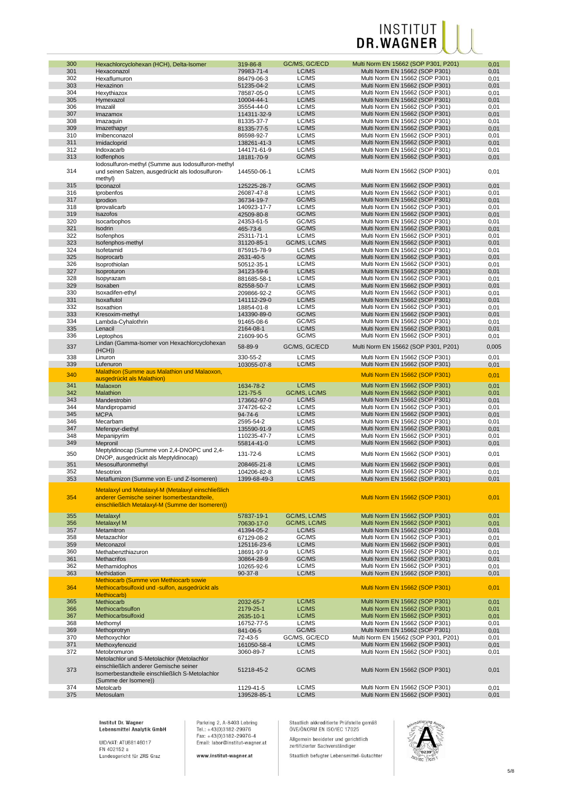| 300 | Hexachlorcyclohexan (HCH), Delta-Isomer             | 319-86-8     | GC/MS, GC/ECD | Multi Norm EN 15662 (SOP P301, P201) | 0,01  |
|-----|-----------------------------------------------------|--------------|---------------|--------------------------------------|-------|
| 301 | Hexaconazol                                         | 79983-71-4   | LC/MS         | Multi Norm EN 15662 (SOP P301)       | 0,01  |
| 302 | Hexaflumuron                                        | 86479-06-3   | LC/MS         | Multi Norm EN 15662 (SOP P301)       | 0,01  |
| 303 | Hexazinon                                           | 51235-04-2   | LC/MS         | Multi Norm EN 15662 (SOP P301)       | 0,01  |
| 304 |                                                     |              | LC/MS         |                                      |       |
|     | Hexythiazox                                         | 78587-05-0   |               | Multi Norm EN 15662 (SOP P301)       | 0,01  |
| 305 | Hymexazol                                           | 10004-44-1   | LC/MS         | Multi Norm EN 15662 (SOP P301)       | 0,01  |
| 306 | Imazalil                                            | 35554-44-0   | LC/MS         | Multi Norm EN 15662 (SOP P301)       | 0,01  |
| 307 | Imazamox                                            | 114311-32-9  | LC/MS         | Multi Norm EN 15662 (SOP P301)       | 0,01  |
| 308 | Imazaquin                                           | 81335-37-7   | LC/MS         | Multi Norm EN 15662 (SOP P301)       | 0,01  |
| 309 | Imazethapyr                                         | 81335-77-5   | LC/MS         | Multi Norm EN 15662 (SOP P301)       | 0,01  |
| 310 | Imibenconazol                                       | 86598-92-7   | LC/MS         | Multi Norm EN 15662 (SOP P301)       | 0,01  |
| 311 |                                                     |              | LC/MS         |                                      |       |
|     | Imidacloprid                                        | 138261-41-3  |               | Multi Norm EN 15662 (SOP P301)       | 0,01  |
| 312 | Indoxacarb                                          | 144171-61-9  | LC/MS         | Multi Norm EN 15662 (SOP P301)       | 0,01  |
| 313 | lodfenphos                                          | 18181-70-9   | GC/MS         | Multi Norm EN 15662 (SOP P301)       | 0,01  |
|     | lodosulfuron-methyl (Summe aus lodosulfuron-methyl  |              |               |                                      |       |
| 314 | und seinen Salzen, ausgedrückt als lodosulfuron-    | 144550-06-1  | LC/MS         | Multi Norm EN 15662 (SOP P301)       | 0,01  |
|     | methyl)                                             |              |               |                                      |       |
| 315 | Ipconazol                                           | 125225-28-7  | GC/MS         | Multi Norm EN 15662 (SOP P301)       | 0,01  |
| 316 | Iprobenfos                                          | 26087-47-8   | LC/MS         | Multi Norm EN 15662 (SOP P301)       | 0,01  |
| 317 | Iprodion                                            | 36734-19-7   | GC/MS         | Multi Norm EN 15662 (SOP P301)       | 0,01  |
| 318 |                                                     |              | LC/MS         |                                      |       |
|     | Iprovalicarb                                        | 140923-17-7  |               | Multi Norm EN 15662 (SOP P301)       | 0,01  |
| 319 | Isazofos                                            | 42509-80-8   | GC/MS         | Multi Norm EN 15662 (SOP P301)       | 0,01  |
| 320 | Isocarbophos                                        | 24353-61-5   | GC/MS         | Multi Norm EN 15662 (SOP P301)       | 0,01  |
| 321 | Isodrin                                             | 465-73-6     | GC/MS         | Multi Norm EN 15662 (SOP P301)       | 0,01  |
| 322 | Isofenphos                                          | 25311-71-1   | LC/MS         | Multi Norm EN 15662 (SOP P301)       | 0,01  |
| 323 | Isofenphos-methyl                                   | 31120-85-1   | GC/MS, LC/MS  | Multi Norm EN 15662 (SOP P301)       | 0,01  |
| 324 | Isofetamid                                          | 875915-78-9  | LC/MS         | Multi Norm EN 15662 (SOP P301)       | 0,01  |
| 325 | Isoprocarb                                          | 2631-40-5    | GC/MS         | Multi Norm EN 15662 (SOP P301)       | 0,01  |
| 326 |                                                     |              | LC/MS         | Multi Norm EN 15662 (SOP P301)       |       |
|     | Isoprothiolan                                       | 50512-35-1   |               |                                      | 0,01  |
| 327 | Isoproturon                                         | 34123-59-6   | LC/MS         | Multi Norm EN 15662 (SOP P301)       | 0,01  |
| 328 | Isopyrazam                                          | 881685-58-1  | LC/MS         | Multi Norm EN 15662 (SOP P301)       | 0,01  |
| 329 | Isoxaben                                            | 82558-50-7   | LC/MS         | Multi Norm EN 15662 (SOP P301)       | 0,01  |
| 330 | Isoxadifen-ethyl                                    | 209866-92-2  | GC/MS         | Multi Norm EN 15662 (SOP P301)       | 0,01  |
| 331 | Isoxaflutol                                         | 141112-29-0  | LC/MS         | Multi Norm EN 15662 (SOP P301)       | 0,01  |
| 332 | Isoxathion                                          | 18854-01-8   | LC/MS         | Multi Norm EN 15662 (SOP P301)       | 0,01  |
| 333 | Kresoxim-methyl                                     | 143390-89-0  | GC/MS         | Multi Norm EN 15662 (SOP P301)       | 0,01  |
|     |                                                     |              |               |                                      |       |
| 334 | Lambda-Cyhalothrin                                  | 91465-08-6   | GC/MS         | Multi Norm EN 15662 (SOP P301)       | 0,01  |
| 335 | Lenacil                                             | 2164-08-1    | LC/MS         | Multi Norm EN 15662 (SOP P301)       | 0,01  |
| 336 | Leptophos                                           | 21609-90-5   | GC/MS         | Multi Norm EN 15662 (SOP P301)       | 0,01  |
| 337 | Lindan (Gamma-Isomer von Hexachlorcyclohexan        | 58-89-9      | GC/MS, GC/ECD | Multi Norm EN 15662 (SOP P301, P201) | 0,005 |
|     | (HCH))                                              |              |               |                                      |       |
| 338 | Linuron                                             | 330-55-2     | LC/MS         | Multi Norm EN 15662 (SOP P301)       | 0,01  |
| 339 | Lufenuron                                           | 103055-07-8  | LC/MS         | Multi Norm EN 15662 (SOP P301)       | 0,01  |
|     | <b>Malathion (Summe aus Malathion und Malaoxon,</b> |              |               |                                      |       |
| 340 | ausgedrückt als Malathion)                          |              |               | Multi Norm EN 15662 (SOP P301)       | 0,01  |
| 341 |                                                     |              | LC/MS         | Multi Norm EN 15662 (SOP P301)       |       |
|     | Malaoxon                                            | 1634-78-2    |               |                                      | 0,01  |
| 342 | Malathion                                           | 121-75-5     | GC/MS, LC/MS  | Multi Norm EN 15662 (SOP P301)       | 0,01  |
| 343 | Mandestrobin                                        | 173662-97-0  | LC/MS         | Multi Norm EN 15662 (SOP P301)       | 0,01  |
| 344 | Mandipropamid                                       | 374726-62-2  | LC/MS         | Multi Norm EN 15662 (SOP P301)       | 0,01  |
| 345 | <b>MCPA</b>                                         | 94-74-6      | LC/MS         | Multi Norm EN 15662 (SOP P301)       | 0,01  |
| 346 | Mecarbam                                            | 2595-54-2    | LC/MS         | Multi Norm EN 15662 (SOP P301)       | 0,01  |
| 347 | Mefenpyr-diethyl                                    | 135590-91-9  | LC/MS         | Multi Norm EN 15662 (SOP P301)       | 0,01  |
| 348 | Mepanipyrim                                         | 110235-47-7  | LC/MS         | Multi Norm EN 15662 (SOP P301)       | 0,01  |
| 349 |                                                     |              | LC/MS         | Multi Norm EN 15662 (SOP P301)       |       |
|     | Mepronil                                            | 55814-41-0   |               |                                      | 0,01  |
| 350 | Meptyldinocap (Summe von 2,4-DNOPC und 2,4-         | 131-72-6     | LC/MS         | Multi Norm EN 15662 (SOP P301)       | 0,01  |
|     | DNOP, ausgedrückt als Meptyldinocap)                |              |               |                                      |       |
| 351 | Mesosulfuronmethyl                                  | 208465-21-8  | LC/MS         | Multi Norm EN 15662 (SOP P301)       | 0,01  |
| 352 | <b>Mesotrion</b>                                    | 104206-82-8  | LC/MS         | Multi Norm EN 15662 (SOP P301)       | 0,01  |
| 353 | Metaflumizon (Summe von E- und Z-Isomeren)          | 1399-68-49-3 | LC/MS         | Multi Norm EN 15662 (SOP P301)       | 0,01  |
|     |                                                     |              |               |                                      |       |
|     | Metalaxyl und Metalaxyl-M (Metalaxyl einschließlich |              |               |                                      |       |
| 354 | anderer Gemische seiner Isomerbestandteile,         |              |               | Multi Norm EN 15662 (SOP P301)       | 0,01  |
|     | einschließlich Metalaxyl-M (Summe der Isomeren))    |              |               |                                      |       |
|     |                                                     |              |               |                                      |       |
| 355 | Metalaxyl                                           | 57837-19-1   | GC/MS, LC/MS  | Multi Norm EN 15662 (SOP P301)       | 0,01  |
| 356 | Metalaxyl M                                         | 70630-17-0   | GC/MS, LC/MS  | Multi Norm EN 15662 (SOP P301)       | 0,01  |
| 357 | Metamitron                                          | 41394-05-2   | LC/MS         | Multi Norm EN 15662 (SOP P301)       | 0,01  |
| 358 | Metazachlor                                         | 67129-08-2   | GC/MS         | Multi Norm EN 15662 (SOP P301)       | 0,01  |
| 359 | Metconazol                                          | 125116-23-6  | LC/MS         | Multi Norm EN 15662 (SOP P301)       | 0,01  |
|     |                                                     |              |               |                                      |       |
| 360 | Methabenzthiazuron                                  | 18691-97-9   | LC/MS         | Multi Norm EN 15662 (SOP P301)       | 0,01  |
| 361 | Methacrifos                                         | 30864-28-9   | GC/MS         | Multi Norm EN 15662 (SOP P301)       | 0,01  |
| 362 | Methamidophos                                       | 10265-92-6   | LC/MS         | Multi Norm EN 15662 (SOP P301)       | 0,01  |
| 363 | Methidation                                         | $90-37-8$    | LC/MS         | Multi Norm EN 15662 (SOP P301)       | 0,01  |
|     | Methiocarb (Summe von Methiocarb sowie              |              |               |                                      |       |
| 364 | Methiocarbsulfoxid und -sulfon, ausgedrückt als     |              |               | Multi Norm EN 15662 (SOP P301)       | 0,01  |
|     | Methiocarb)                                         |              |               |                                      |       |
| 365 | Methiocarb                                          | 2032-65-7    | LC/MS         | Multi Norm EN 15662 (SOP P301)       | 0,01  |
| 366 | Methiocarbsulfon                                    | 2179-25-1    | LC/MS         | Multi Norm EN 15662 (SOP P301)       | 0,01  |
| 367 | Methiocarbsulfoxid                                  |              | LC/MS         |                                      |       |
|     |                                                     | 2635-10-1    |               | Multi Norm EN 15662 (SOP P301)       | 0,01  |
| 368 | Methomyl                                            | 16752-77-5   | LC/MS         | Multi Norm EN 15662 (SOP P301)       | 0,01  |
| 369 | Methoprotryn                                        | 841-06-5     | GC/MS         | Multi Norm EN 15662 (SOP P301)       | 0,01  |
| 370 | Methoxychlor                                        | 72-43-5      | GC/MS, GC/ECD | Multi Norm EN 15662 (SOP P301, P201) | 0,01  |
| 371 | Methoxyfenozid                                      | 161050-58-4  | LC/MS         | Multi Norm EN 15662 (SOP P301)       | 0,01  |
| 372 | Metobromuron                                        | 3060-89-7    | LC/MS         | Multi Norm EN 15662 (SOP P301)       | 0,01  |
|     | Metolachlor und S-Metolachlor (Metolachlor          |              |               |                                      |       |
|     | einschließlich anderer Gemische seiner              |              |               |                                      |       |
| 373 | Isomerbestandteile einschließlich S-Metolachlor     | 51218-45-2   | GC/MS         | Multi Norm EN 15662 (SOP P301)       | 0,01  |
|     |                                                     |              |               |                                      |       |
|     | (Summe der Isomere))                                |              |               |                                      |       |
| 374 | Metolcarb                                           | 1129-41-5    | LC/MS         | Multi Norm EN 15662 (SOP P301)       | 0,01  |
| 375 | Metosulam                                           | 139528-85-1  | LC/MS         | Multi Norm EN 15662 (SOP P301)       | 0,01  |

Institut Dr. Wagner<br>Lebensmittel Analytik GmbH

UID/VAT: ATU68146017<br>FN 402152 a<br>Landesgericht für ZRS Graz

Parkring 2, A-8403 Lebring<br>Tel.: +43(0)3182-29976<br>Fax: +43(0)3182-29976-4<br>Email: labor@institut-wagner.at

www.institut-wagner.at

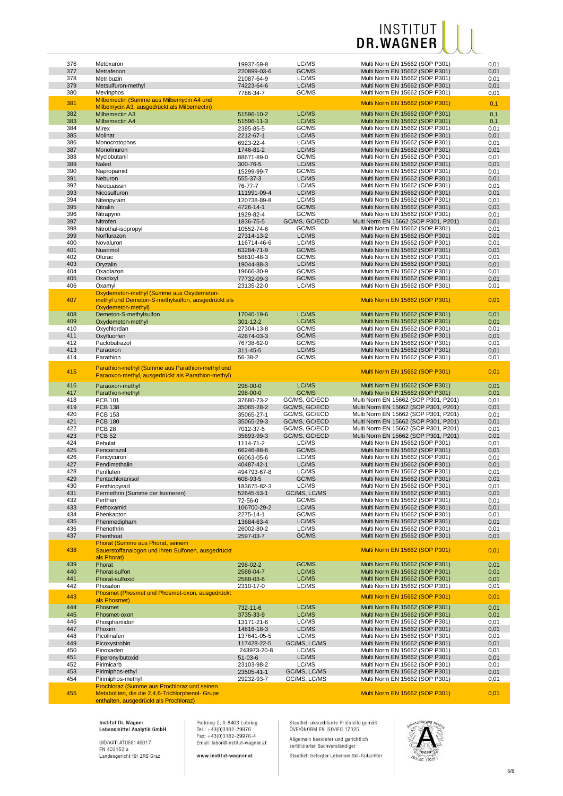| 376 | Metoxuron                                                                                              | 19937-59-8     | LC/MS         | Multi Norm EN 15662 (SOP P301)       | 0,01 |
|-----|--------------------------------------------------------------------------------------------------------|----------------|---------------|--------------------------------------|------|
| 377 | Metrafenon                                                                                             | 220899-03-6    | GC/MS         | Multi Norm EN 15662 (SOP P301)       | 0,01 |
|     |                                                                                                        |                |               |                                      |      |
| 378 | Metribuzin                                                                                             | 21087-64-9     | LC/MS         | Multi Norm EN 15662 (SOP P301)       | 0,01 |
| 379 | Metsulfuron-methyl                                                                                     | 74223-64-6     | LC/MS         | Multi Norm EN 15662 (SOP P301)       | 0,01 |
| 380 | Mevinphos                                                                                              | 7786-34-7      | GC/MS         | Multi Norm EN 15662 (SOP P301)       | 0,01 |
|     | Milbemectin (Summe aus Milbemycin A4 und                                                               |                |               |                                      |      |
| 381 | Milbemycin A3, ausgedrückt als Milbemectin)                                                            |                |               | Multi Norm EN 15662 (SOP P301)       | 0,1  |
|     |                                                                                                        |                |               |                                      |      |
| 382 | <b>Milbemectin A3</b>                                                                                  | 51596-10-2     | LC/MS         | Multi Norm EN 15662 (SOP P301)       | 0,1  |
| 383 | Milbemectin A4                                                                                         | 51596-11-3     | LC/MS         | Multi Norm EN 15662 (SOP P301)       | 0,1  |
| 384 | Mirex                                                                                                  | 2385-85-5      | GC/MS         | Multi Norm EN 15662 (SOP P301)       | 0,01 |
| 385 | Molinat                                                                                                | 2212-67-1      | LC/MS         | Multi Norm EN 15662 (SOP P301)       | 0,01 |
|     |                                                                                                        |                |               |                                      |      |
| 386 | Monocrotophos                                                                                          | 6923-22-4      | LC/MS         | Multi Norm EN 15662 (SOP P301)       | 0,01 |
| 387 | Monolinuron                                                                                            | 1746-81-2      | LC/MS         | Multi Norm EN 15662 (SOP P301)       | 0,01 |
| 388 | Myclobutanil                                                                                           | 88671-89-0     | GC/MS         | Multi Norm EN 15662 (SOP P301)       | 0,01 |
| 389 | Naled                                                                                                  | 300-76-5       | LC/MS         | Multi Norm EN 15662 (SOP P301)       | 0,01 |
|     |                                                                                                        |                |               |                                      |      |
| 390 | Napropamid                                                                                             | 15299-99-7     | GC/MS         | Multi Norm EN 15662 (SOP P301)       | 0,01 |
| 391 | Neburon                                                                                                | 555-37-3       | LC/MS         | Multi Norm EN 15662 (SOP P301)       | 0,01 |
| 392 | Neoquassin                                                                                             | 76-77-7        | LC/MS         | Multi Norm EN 15662 (SOP P301)       | 0,01 |
| 393 | Nicosulfuron                                                                                           | 111991-09-4    | LC/MS         | Multi Norm EN 15662 (SOP P301)       | 0,01 |
|     |                                                                                                        |                |               |                                      |      |
| 394 | Nitenpyram                                                                                             | 120738-89-8    | LC/MS         | Multi Norm EN 15662 (SOP P301)       | 0,01 |
| 395 | Nitralin                                                                                               | 4726-14-1      | GC/MS         | Multi Norm EN 15662 (SOP P301)       | 0,01 |
| 396 | Nitrapyrin                                                                                             | 1929-82-4      | GC/MS         | Multi Norm EN 15662 (SOP P301)       | 0,01 |
| 397 | Nitrofen                                                                                               | 1836-75-5      | GC/MS, GC/ECD | Multi Norm EN 15662 (SOP P301, P201) | 0,01 |
|     |                                                                                                        |                |               |                                      |      |
| 398 | Nitrothal-isopropyl                                                                                    | 10552-74-6     | GC/MS         | Multi Norm EN 15662 (SOP P301)       | 0,01 |
| 399 | Norflurazon                                                                                            | 27314-13-2     | LC/MS         | Multi Norm EN 15662 (SOP P301)       | 0,01 |
| 400 | Novaluron                                                                                              | 116714-46-6    | LC/MS         | Multi Norm EN 15662 (SOP P301)       | 0,01 |
| 401 | Nuarimol                                                                                               | 63284-71-9     | GC/MS         | Multi Norm EN 15662 (SOP P301)       | 0,01 |
| 402 |                                                                                                        | 58810-48-3     | GC/MS         |                                      |      |
|     | Ofurac                                                                                                 |                |               | Multi Norm EN 15662 (SOP P301)       | 0,01 |
| 403 | Oryzalin                                                                                               | 19044-88-3     | LC/MS         | Multi Norm EN 15662 (SOP P301)       | 0,01 |
| 404 | Oxadiazon                                                                                              | 19666-30-9     | GC/MS         | Multi Norm EN 15662 (SOP P301)       | 0,01 |
| 405 | Oxadixyl                                                                                               | 77732-09-3     | GC/MS         | Multi Norm EN 15662 (SOP P301)       | 0,01 |
|     | Oxamvl                                                                                                 |                |               |                                      |      |
| 406 |                                                                                                        | 23135-22-0     | LC/MS         | Multi Norm EN 15662 (SOP P301)       | 0,01 |
| 407 | Oxydemeton-methyl (Summe aus Oxydemeton-<br>methyl und Demeton-S-methylsulfon, ausgedrückt als         |                |               | Multi Norm EN 15662 (SOP P301)       | 0,01 |
| 408 | Oxydemeton-methyl)<br>Demeton-S-methylsulfon                                                           | 17040-19-6     | LC/MS         | Multi Norm EN 15662 (SOP P301)       | 0,01 |
|     |                                                                                                        |                |               |                                      |      |
| 409 | Oxydemeton-methyl                                                                                      | $301 - 12 - 2$ | LC/MS         | Multi Norm EN 15662 (SOP P301)       | 0,01 |
| 410 | Oxychlordan                                                                                            | 27304-13-8     | GC/MS         | Multi Norm EN 15662 (SOP P301)       | 0,01 |
| 411 | Oxyfluorfen                                                                                            | 42874-03-3     | GC/MS         | Multi Norm EN 15662 (SOP P301)       | 0,01 |
| 412 | Paclobutrazol                                                                                          | 76738-62-0     | GC/MS         | Multi Norm EN 15662 (SOP P301)       | 0,01 |
|     |                                                                                                        |                |               |                                      |      |
| 413 | Paraoxon                                                                                               | 311-45-5       | LC/MS         | Multi Norm EN 15662 (SOP P301)       | 0,01 |
| 414 | Parathion                                                                                              | 56-38-2        | GC/MS         | Multi Norm EN 15662 (SOP P301)       | 0,01 |
| 415 | Parathion-methyl (Summe aus Parathion-methyl und<br>Paraoxon-methyl, ausgedrückt als Parathion-methyl) |                |               | Multi Norm EN 15662 (SOP P301)       | 0,01 |
| 416 | Paraoxon-methyl                                                                                        | 298-00-0       | LC/MS         | Multi Norm EN 15662 (SOP P301)       | 0,01 |
| 417 | Parathion-methyl                                                                                       | 298-00-0       | GC/MS         | Multi Norm EN 15662 (SOP P301)       | 0,01 |
| 418 |                                                                                                        |                |               |                                      |      |
|     | <b>PCB 101</b>                                                                                         | 37680-73-2     | GC/MS, GC/ECD | Multi Norm EN 15662 (SOP P301, P201) | 0,01 |
| 419 | <b>PCB 138</b>                                                                                         | 35065-28-2     | GC/MS, GC/ECD | Multi Norm EN 15662 (SOP P301, P201) | 0,01 |
| 420 | <b>PCB 153</b>                                                                                         | 35065-27-1     | GC/MS, GC/ECD | Multi Norm EN 15662 (SOP P301, P201) | 0,01 |
| 421 | <b>PCB 180</b>                                                                                         | 35065-29-3     | GC/MS, GC/ECD | Multi Norm EN 15662 (SOP P301, P201) | 0,01 |
| 422 |                                                                                                        |                |               | Multi Norm EN 15662 (SOP P301, P201) |      |
|     | <b>PCB 28</b>                                                                                          | 7012-37-5      | GC/MS, GC/ECD |                                      | 0,01 |
| 423 | <b>PCB 52</b>                                                                                          | 35693-99-3     | GC/MS, GC/ECD | Multi Norm EN 15662 (SOP P301, P201) | 0,01 |
| 424 | Pebulat                                                                                                | 1114-71-2      | LC/MS         | Multi Norm EN 15662 (SOP P301)       | 0,01 |
| 425 | Penconazol                                                                                             | 66246-88-6     | GC/MS         | Multi Norm EN 15662 (SOP P301)       | 0,01 |
|     |                                                                                                        |                |               |                                      |      |
| 426 | Pencycuron                                                                                             | 66063-05-6     | LC/MS         | Multi Norm EN 15662 (SOP P301)       | 0,01 |
| 427 | Pendimethalin                                                                                          | 40487-42-1     | LC/MS         | Multi Norm EN 15662 (SOP P301)       | 0,01 |
| 428 | Penflufen                                                                                              | 494793-67-8    | LC/MS         | Multi Norm EN 15662 (SOP P301)       | 0,01 |
| 429 | Pentachloranisol                                                                                       | 608-93-5       | GC/MS         | Multi Norm EN 15662 (SOP P301)       | 0,01 |
|     |                                                                                                        |                |               |                                      |      |
| 430 | Penthiopyrad                                                                                           | 183675-82-3    | LC/MS         | Multi Norm EN 15662 (SOP P301)       | 0,01 |
| 431 | Permethrin (Summe der Isomeren)                                                                        | 52645-53-1     | GC/MS, LC/MS  | Multi Norm EN 15662 (SOP P301)       | 0,01 |
| 432 | Perthan                                                                                                | 72-56-0        | GC/MS         | Multi Norm EN 15662 (SOP P301)       | 0,01 |
| 433 | Pethoxamid                                                                                             | 106700-29-2    | LC/MS         | Multi Norm EN 15662 (SOP P301)       | 0,01 |
|     |                                                                                                        |                |               |                                      |      |
| 434 | Phenkapton                                                                                             | 2275-14-1      | GC/MS         | Multi Norm EN 15662 (SOP P301)       | 0,01 |
| 435 | Phenmedipham                                                                                           | 13684-63-4     | LC/MS         | Multi Norm EN 15662 (SOP P301)       | 0,01 |
| 436 | Phenothrin                                                                                             | 26002-80-2     | LC/MS         | Multi Norm EN 15662 (SOP P301)       | 0,01 |
| 437 | Phenthoat                                                                                              | 2597-03-7      | GC/MS         | Multi Norm EN 15662 (SOP P301)       | 0,01 |
|     | Phorat (Summe aus Phorat, seinem                                                                       |                |               | Multi Norm EN 15662 (SOP P301)       |      |
| 438 | Sauerstoffanalogon und ihren Sulfonen, ausgedrückt<br>als Phorat)                                      |                |               |                                      | 0,01 |
| 439 | Phorat                                                                                                 | 298-02-2       | GC/MS         | Multi Norm EN 15662 (SOP P301)       | 0,01 |
| 440 |                                                                                                        |                | LC/MS         | Multi Norm EN 15662 (SOP P301)       |      |
|     | Phorat-sulfon                                                                                          | 2588-04-7      |               |                                      | 0,01 |
| 441 | Phorat-sulfoxid                                                                                        | 2588-03-6      | LC/MS         | Multi Norm EN 15662 (SOP P301)       | 0,01 |
| 442 | Phosalon                                                                                               | 2310-17-0      | LC/MS         | Multi Norm EN 15662 (SOP P301)       | 0,01 |
|     | Phosmet (Phosmet und Phosmet-oxon, ausgedrückt                                                         |                |               |                                      |      |
| 443 | als Phosmet)                                                                                           |                |               | Multi Norm EN 15662 (SOP P301)       | 0,01 |
| 444 | Phosmet                                                                                                | 732-11-6       | LC/MS         | Multi Norm EN 15662 (SOP P301)       | 0,01 |
| 445 | Phosmet-oxon                                                                                           | 3735-33-9      | LC/MS         | Multi Norm EN 15662 (SOP P301)       | 0,01 |
|     |                                                                                                        |                | LC/MS         | Multi Norm EN 15662 (SOP P301)       | 0,01 |
| 446 | Phosphamidon                                                                                           |                |               |                                      |      |
|     |                                                                                                        | 13171-21-6     |               |                                      |      |
| 447 | Phoxim                                                                                                 | 14816-18-3     | LC/MS         | Multi Norm EN 15662 (SOP P301)       | 0,01 |
| 448 | Picolinafen                                                                                            | 137641-05-5    | LC/MS         | Multi Norm EN 15662 (SOP P301)       | 0,01 |
| 449 | Picoxystrobin                                                                                          | 117428-22-5    | GC/MS, LC/MS  | Multi Norm EN 15662 (SOP P301)       | 0,01 |
| 450 | Pinoxaden                                                                                              | 243973-20-8    | LC/MS         | Multi Norm EN 15662 (SOP P301)       | 0,01 |
|     |                                                                                                        |                | LC/MS         |                                      |      |
| 451 | Piperonylbutoxid                                                                                       | $51-03-6$      |               | Multi Norm EN 15662 (SOP P301)       | 0,01 |
| 452 | Pirimicarb                                                                                             | 23103-98-2     | LC/MS         | Multi Norm EN 15662 (SOP P301)       | 0,01 |
| 453 | Pirimiphos-ethyl                                                                                       | 23505-41-1     | GC/MS, LC/MS  | Multi Norm EN 15662 (SOP P301)       | 0,01 |
| 454 | Pirimiphos-methyl                                                                                      | 29232-93-7     | GC/MS, LC/MS  | Multi Norm EN 15662 (SOP P301)       | 0,01 |
|     | Prochloraz (Summe aus Prochloraz und seinen                                                            |                |               |                                      |      |

enthalten, ausgedrückt als Prochloraz)

Institut Dr. Wagner<br>Lebensmittel Analytik GmbH

UID/VAT: ATU68146017<br>FN 402152 a<br>Landesgericht für ZRS Graz

Parkring 2, A-8403 Lebring<br>Tel.: +43(0)3182-29976<br>Fax: +43(0)3182-29976-4<br>Email: labor@institut-wagner.at

www.institut-wagner.at

Staatlich akkreditierte Prüfstelle gemäß<br>ÖVE/ÖNORM EN ISO/IEC 17025 Allgemein beeideter und gerichtlich<br>zertifizierter Sachverständiger

Staatlich befugter Lebensmittel-Gutachter

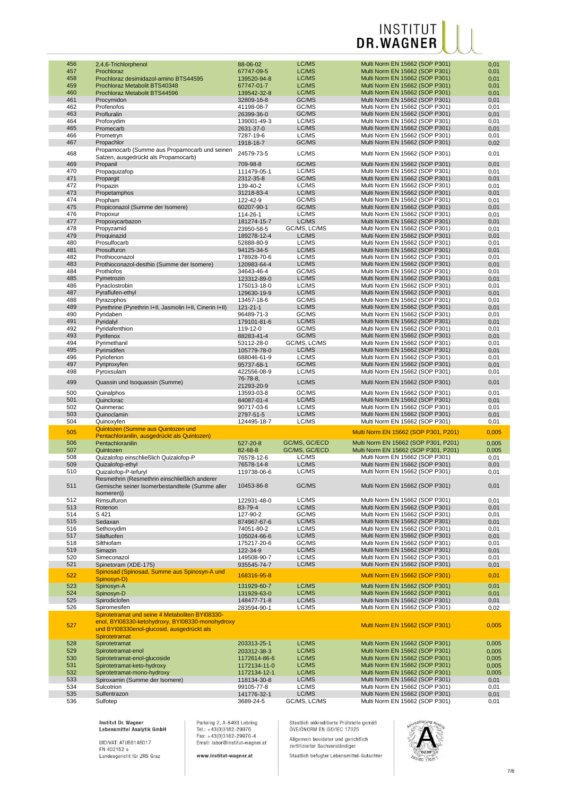| 456        | 2,4,6-Trichlorphenol                                                                                                                              | 88-06-02                  | LC/MS          | Multi Norm EN 15662 (SOP P301)                                   | 0,01         |
|------------|---------------------------------------------------------------------------------------------------------------------------------------------------|---------------------------|----------------|------------------------------------------------------------------|--------------|
| 457        | Prochloraz                                                                                                                                        | 67747-09-5                | LC/MS          | Multi Norm EN 15662 (SOP P301)                                   | 0,01         |
| 458        | Prochloraz desimidazol-amino BTS44595                                                                                                             | 139520-94-8               | LC/MS          | Multi Norm EN 15662 (SOP P301)                                   | 0,01         |
| 459        | Prochloraz Metabolit BTS40348                                                                                                                     | 67747-01-7                | LC/MS          | Multi Norm EN 15662 (SOP P301)                                   | 0,01         |
| 460        | Prochloraz Metabolit BTS44596                                                                                                                     | 139542-32-8               | LC/MS          | Multi Norm EN 15662 (SOP P301)                                   | 0,01         |
| 461        | Procymidon                                                                                                                                        | 32809-16-8                | GC/MS          | Multi Norm EN 15662 (SOP P301)                                   | 0,01         |
| 462        | Profenofos                                                                                                                                        | 41198-08-7                | GC/MS          | Multi Norm EN 15662 (SOP P301)                                   | 0,01         |
| 463        | Profluralin                                                                                                                                       | 26399-36-0                | GC/MS          | Multi Norm EN 15662 (SOP P301)                                   | 0,01         |
| 464        | Profoxydim                                                                                                                                        | 139001-49-3               | LC/MS          | Multi Norm EN 15662 (SOP P301)                                   | 0,01         |
| 465        | Promecarb                                                                                                                                         | 2631-37-0                 | LC/MS          | Multi Norm EN 15662 (SOP P301)                                   | 0,01         |
| 466        | Prometryn                                                                                                                                         | 7287-19-6                 | LC/MS          | Multi Norm EN 15662 (SOP P301)                                   | 0,01         |
| 467        | Propachlor                                                                                                                                        | 1918-16-7                 | GC/MS          | Multi Norm EN 15662 (SOP P301)                                   | 0,02         |
|            | Propamocarb (Summe aus Propamocarb und seinen                                                                                                     |                           |                |                                                                  |              |
| 468        |                                                                                                                                                   | 24579-73-5                | LC/MS          | Multi Norm EN 15662 (SOP P301)                                   | 0,01         |
|            | Salzen, ausgedrückt als Propamocarb)                                                                                                              |                           | GC/MS          |                                                                  |              |
| 469        | Propanil                                                                                                                                          | 709-98-8                  |                | Multi Norm EN 15662 (SOP P301)                                   | 0,01         |
| 470        | Propaquizafop                                                                                                                                     | 111479-05-1               | LC/MS          | Multi Norm EN 15662 (SOP P301)                                   | 0,01         |
| 471        | Propargit                                                                                                                                         | 2312-35-8                 | GC/MS          | Multi Norm EN 15662 (SOP P301)                                   | 0,01         |
| 472        | Propazin                                                                                                                                          | 139-40-2                  | LC/MS          | Multi Norm EN 15662 (SOP P301)                                   | 0,01         |
| 473        | Propetamphos                                                                                                                                      | 31218-83-4                | LC/MS          | Multi Norm EN 15662 (SOP P301)                                   | 0,01         |
| 474        | Propham                                                                                                                                           | 122-42-9                  | GC/MS          | Multi Norm EN 15662 (SOP P301)                                   | 0,01         |
| 475        | Propiconazol (Summe der Isomere)                                                                                                                  | 60207-90-1                | GC/MS          | Multi Norm EN 15662 (SOP P301)                                   | 0,01         |
| 476        | Propoxur                                                                                                                                          | 114-26-1                  | LC/MS          | Multi Norm EN 15662 (SOP P301)                                   | 0,01         |
| 477        | Propoxycarbazon                                                                                                                                   | 181274-15-7               | LC/MS          | Multi Norm EN 15662 (SOP P301)                                   | 0,01         |
| 478        | Propyzamid                                                                                                                                        | 23950-58-5                | GC/MS, LC/MS   | Multi Norm EN 15662 (SOP P301)                                   | 0,01         |
| 479        | Proquinazid                                                                                                                                       | 189278-12-4               | LC/MS          | Multi Norm EN 15662 (SOP P301)                                   | 0,01         |
| 480        | Prosulfocarb                                                                                                                                      | 52888-80-9                | LC/MS          | Multi Norm EN 15662 (SOP P301)                                   | 0,01         |
| 481        | Prosulfuron                                                                                                                                       | 94125-34-5                | LC/MS          | Multi Norm EN 15662 (SOP P301)                                   | 0,01         |
| 482        | Prothioconazol                                                                                                                                    | 178928-70-6               | LC/MS          | Multi Norm EN 15662 (SOP P301)                                   | 0,01         |
| 483        | Prothioconazol-desthio (Summe der Isomere)                                                                                                        | 120983-64-4               | LC/MS          | Multi Norm EN 15662 (SOP P301)                                   | 0,01         |
| 484        | Prothiofos                                                                                                                                        | 34643-46-4                | GC/MS          | Multi Norm EN 15662 (SOP P301)                                   | 0,01         |
| 485        | Pymetrozin                                                                                                                                        | 123312-89-0               | LC/MS          | Multi Norm EN 15662 (SOP P301)                                   | 0,01         |
| 486        | Pyraclostrobin                                                                                                                                    | 175013-18-0               | LC/MS          | Multi Norm EN 15662 (SOP P301)                                   | 0,01         |
| 487        | Pyraflufen-ethyl                                                                                                                                  | 129630-19-9               | LC/MS          | Multi Norm EN 15662 (SOP P301)                                   | 0,01         |
| 488        | Pyrazophos                                                                                                                                        | 13457-18-6                | GC/MS          | Multi Norm EN 15662 (SOP P301)                                   | 0,01         |
| 489        | Pyrethrine (Pyrethrin I+II, Jasmolin I+II, Cinerin I+II)                                                                                          | 121-21-1                  | LC/MS          | Multi Norm EN 15662 (SOP P301)                                   | 0,01         |
| 490        | Pyridaben                                                                                                                                         | 96489-71-3                | GC/MS          | Multi Norm EN 15662 (SOP P301)                                   | 0,01         |
| 491        | Pyridalyl                                                                                                                                         | 179101-81-6               | LC/MS          | Multi Norm EN 15662 (SOP P301)                                   | 0,01         |
| 492        | Pyridafenthion                                                                                                                                    | 119-12-0                  | GC/MS          | Multi Norm EN 15662 (SOP P301)                                   | 0,01         |
| 493        | Pyrifenox                                                                                                                                         | 88283-41-4                | GC/MS          | Multi Norm EN 15662 (SOP P301)                                   | 0,01         |
| 494        | Pyrimethanil                                                                                                                                      | 53112-28-0                | GC/MS, LC/MS   | Multi Norm EN 15662 (SOP P301)                                   | 0,01         |
| 495        | Pyrimidifen                                                                                                                                       | 105779-78-0               | LC/MS          | Multi Norm EN 15662 (SOP P301)                                   | 0,01         |
| 496        | Pyriofenon                                                                                                                                        | 688046-61-9               | LC/MS          | Multi Norm EN 15662 (SOP P301)                                   | 0,01         |
| 497        | Pyriproxyfen                                                                                                                                      | 95737-68-1                | GC/MS          | Multi Norm EN 15662 (SOP P301)                                   | 0,01         |
| 498        | Pyroxsulam                                                                                                                                        | 422556-08-9               | LC/MS          | Multi Norm EN 15662 (SOP P301)                                   | 0,01         |
|            |                                                                                                                                                   | 76-78-8,                  |                |                                                                  |              |
| 499        | Quassin und Isoquassin (Summe)                                                                                                                    | 21293-20-9                | LC/MS          | Multi Norm EN 15662 (SOP P301)                                   | 0,01         |
| 500        | Quinalphos                                                                                                                                        | 13593-03-8                | GC/MS          | Multi Norm EN 15662 (SOP P301)                                   | 0,01         |
| 501        | Quinclorac                                                                                                                                        | 84087-01-4                | LC/MS          | Multi Norm EN 15662 (SOP P301)                                   | 0,01         |
| 502        | Quinmerac                                                                                                                                         | 90717-03-6                | LC/MS          | Multi Norm EN 15662 (SOP P301)                                   | 0,01         |
| 503        | Quinoclamin                                                                                                                                       | 2797-51-5                 | LC/MS          | Multi Norm EN 15662 (SOP P301)                                   | 0,01         |
| 504        | Quinoxyfen                                                                                                                                        | 124495-18-7               | LC/MS          | Multi Norm EN 15662 (SOP P301)                                   |              |
|            |                                                                                                                                                   |                           |                |                                                                  |              |
|            |                                                                                                                                                   |                           |                |                                                                  | 0,01         |
| 505        | Quintozen (Summe aus Quintozen und                                                                                                                |                           |                | Multi Norm EN 15662 (SOP P301, P201)                             | 0,005        |
|            | Pentachloranilin, ausgedrückt als Quintozen)                                                                                                      |                           |                |                                                                  |              |
| 506        | Pentachloranilin                                                                                                                                  | 527-20-8                  | GC/MS, GC/ECD  | Multi Norm EN 15662 (SOP P301, P201)                             | 0,005        |
| 507        | Quintozen                                                                                                                                         | 82-68-8                   | GC/MS, GC/ECD  | Multi Norm EN 15662 (SOP P301, P201)                             | 0,005        |
| 508        | Quizalofop einschließlich Quizalofop-P                                                                                                            | 76578-12-6                | LC/MS          | Multi Norm EN 15662 (SOP P301)                                   | 0,01         |
| 509        | Quizalofop-ethyl                                                                                                                                  | 76578-14-8                | LC/MS          | Multi Norm EN 15662 (SOP P301)                                   | 0,01         |
| 510        | Quizalofop-P-tefuryl                                                                                                                              | 119738-06-6               | LC/MS          | Multi Norm EN 15662 (SOP P301)                                   | 0,01         |
|            | Resmethrin (Resmethrin einschließlich anderer                                                                                                     |                           |                |                                                                  |              |
| 511        | Gemische seiner Isomerbestandteile (Summe aller                                                                                                   | 10453-86-8                | GC/MS          | Multi Norm EN 15662 (SOP P301)                                   | 0,01         |
|            | (Isomeren                                                                                                                                         | 122931-48-0               |                |                                                                  |              |
| 512        | Rimsulfuron                                                                                                                                       |                           | LC/MS          | Multi Norm EN 15662 (SOP P301)                                   | 0,01         |
| 513        | Rotenon                                                                                                                                           | 83-79-4                   | LC/MS          | Multi Norm EN 15662 (SOP P301)                                   | 0,01         |
| 514        | S 421                                                                                                                                             | 127-90-2                  | GC/MS          | Multi Norm EN 15662 (SOP P301)                                   | 0,01         |
| 515        | Sedaxan                                                                                                                                           | 874967-67-6               | LC/MS          | Multi Norm EN 15662 (SOP P301)                                   | 0,01         |
| 516        | Sethoxydim                                                                                                                                        | 74051-80-2                | LC/MS          | Multi Norm EN 15662 (SOP P301)                                   | 0,01         |
| 517        | Silafluofen                                                                                                                                       | 105024-66-6               | LC/MS          | Multi Norm EN 15662 (SOP P301)                                   | 0,01         |
| 518        | Silthiofam                                                                                                                                        | 175217-20-6               | GC/MS          | Multi Norm EN 15662 (SOP P301)                                   | 0,01         |
| 519        | Simazin                                                                                                                                           | 122-34-9                  | LC/MS          | Multi Norm EN 15662 (SOP P301)                                   | 0,01         |
| 520        | Simeconazol                                                                                                                                       | 149508-90-7               | LC/MS          | Multi Norm EN 15662 (SOP P301)                                   | 0,01         |
| 521        | Spinetoram (XDE-175)                                                                                                                              | 935545-74-7               | LC/MS          | Multi Norm EN 15662 (SOP P301)                                   | 0,01         |
| 522        | Spinosad (Spinosad, Summe aus Spinosyn-A und                                                                                                      | 168316-95-8               |                | Multi Norm EN 15662 (SOP P301)                                   | 0,01         |
|            | Spinosyn-D)                                                                                                                                       |                           |                |                                                                  |              |
| 523        | Spinosyn-A                                                                                                                                        | 131929-60-7               | LC/MS          | Multi Norm EN 15662 (SOP P301)                                   | 0,01         |
| 524        | Spinosyn-D                                                                                                                                        | 131929-63-0               | LC/MS          | Multi Norm EN 15662 (SOP P301)                                   | 0,01         |
| 525        | Spirodiclofen                                                                                                                                     | 148477-71-8               | LC/MS          | Multi Norm EN 15662 (SOP P301)                                   | 0,01         |
| 526        | Spiromesifen                                                                                                                                      | 283594-90-1               | LC/MS          | Multi Norm EN 15662 (SOP P301)                                   | 0,02         |
| 527        | Spirotetramat und seine 4 Metaboliten BYI08330-<br>enol, BYI08330-ketohydroxy, BYI08330-monohydroxy<br>und BYI08330enol-glucosid, ausgedrückt als |                           |                | Multi Norm EN 15662 (SOP P301)                                   | 0,005        |
|            | Spirotetramat                                                                                                                                     |                           |                |                                                                  |              |
| 528        | Spirotetramat                                                                                                                                     | 203313-25-1               | LC/MS          | Multi Norm EN 15662 (SOP P301)                                   | 0,005        |
| 529        | Spirotetramat-enol                                                                                                                                | 203312-38-3               | LC/MS          | Multi Norm EN 15662 (SOP P301)                                   | 0,005        |
| 530        | Spirotetramat-enol-glucoside                                                                                                                      | 1172614-86-6              | LC/MS          | Multi Norm EN 15662 (SOP P301)                                   | 0,005        |
| 531        | Spirotetramat-keto-hydroxy                                                                                                                        | 1172134-11-0              | LC/MS          | Multi Norm EN 15662 (SOP P301)                                   | 0,005        |
| 532        | Spirotetramat-mono-hydroxy                                                                                                                        | 1172134-12-1              | LC/MS          | Multi Norm EN 15662 (SOP P301)                                   | 0,005        |
| 533        | Spiroxamin (Summe der Isomere)                                                                                                                    | 118134-30-8               | LC/MS          | Multi Norm EN 15662 (SOP P301)                                   | 0,01         |
| 534<br>535 | Sulcotrion<br>Sulfentrazon                                                                                                                        | 99105-77-8<br>141776-32-1 | LC/MS<br>LC/MS | Multi Norm EN 15662 (SOP P301)<br>Multi Norm EN 15662 (SOP P301) | 0,01<br>0,01 |

Institut Dr. Wagner<br>Lebensmittel Analytik GmbH

UID/VAT: ATU68146017<br>FN 402152 a<br>Landesgericht für ZRS Graz

Parkring 2, A-8403 Lebring<br>Tel.: +43(0)3182-29976<br>Fax: +43(0)3182-29976-4<br>Email: labor@institut-wagner.at

www.institut-wagner.at